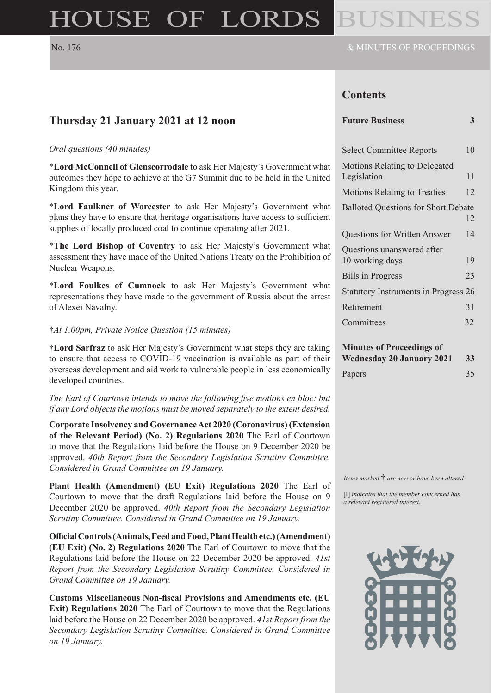# HOUSE OF LORDS

# **Contents**

#### **Future Business 3**

| <b>Select Committee Reports</b>                     | 10 |
|-----------------------------------------------------|----|
| <b>Motions Relating to Delegated</b><br>Legislation | 11 |
| <b>Motions Relating to Treaties</b>                 | 12 |
| <b>Balloted Questions for Short Debate</b>          | 12 |
| <b>Questions for Written Answer</b>                 | 14 |
| Questions unanswered after<br>10 working days       | 19 |
| <b>Bills in Progress</b>                            | 23 |
| <b>Statutory Instruments in Progress 26</b>         |    |
| Retirement                                          | 31 |
| Committees                                          | 32 |
|                                                     |    |

# **Minutes of Proceedings of**

| Wednesday 20 January 2021 33 |    |
|------------------------------|----|
| Papers                       | 35 |

*Items marked* † *are new or have been altered*

[I] *indicates that the member concerned has a relevant registered interest.*



# **Thursday 21 January 2021 at 12 noon**

#### *Oral questions (40 minutes)*

\***Lord McConnell of Glenscorrodale** to ask Her Majesty's Government what outcomes they hope to achieve at the G7 Summit due to be held in the United Kingdom this year.

\***Lord Faulkner of Worcester** to ask Her Majesty's Government what plans they have to ensure that heritage organisations have access to sufficient supplies of locally produced coal to continue operating after 2021.

\***The Lord Bishop of Coventry** to ask Her Majesty's Government what assessment they have made of the United Nations Treaty on the Prohibition of Nuclear Weapons.

\***Lord Foulkes of Cumnock** to ask Her Majesty's Government what representations they have made to the government of Russia about the arrest of Alexei Navalny.

#### †*At 1.00pm, Private Notice Question (15 minutes)*

†**Lord Sarfraz** to ask Her Majesty's Government what steps they are taking to ensure that access to COVID-19 vaccination is available as part of their overseas development and aid work to vulnerable people in less economically developed countries.

*The Earl of Courtown intends to move the following five motions en bloc: but if any Lord objects the motions must be moved separately to the extent desired.*

**Corporate Insolvency and Governance Act 2020 (Coronavirus) (Extension of the Relevant Period) (No. 2) Regulations 2020** The Earl of Courtown to move that the Regulations laid before the House on 9 December 2020 be approved. *40th Report from the Secondary Legislation Scrutiny Committee. Considered in Grand Committee on 19 January.*

**Plant Health (Amendment) (EU Exit) Regulations 2020** The Earl of Courtown to move that the draft Regulations laid before the House on 9 December 2020 be approved. *40th Report from the Secondary Legislation Scrutiny Committee. Considered in Grand Committee on 19 January.*

**Official Controls (Animals, Feed and Food, Plant Health etc.) (Amendment) (EU Exit) (No. 2) Regulations 2020** The Earl of Courtown to move that the Regulations laid before the House on 22 December 2020 be approved. *41st Report from the Secondary Legislation Scrutiny Committee. Considered in Grand Committee on 19 January.*

**Customs Miscellaneous Non-fiscal Provisions and Amendments etc. (EU Exit) Regulations 2020** The Earl of Courtown to move that the Regulations laid before the House on 22 December 2020 be approved. *41st Report from the Secondary Legislation Scrutiny Committee. Considered in Grand Committee on 19 January.*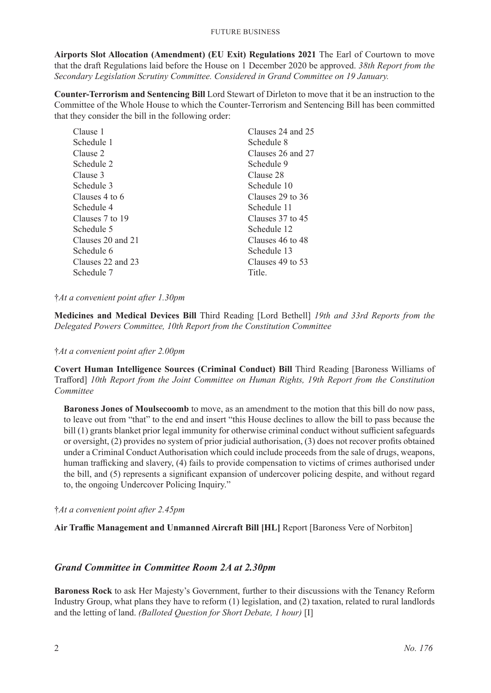**Airports Slot Allocation (Amendment) (EU Exit) Regulations 2021** The Earl of Courtown to move that the draft Regulations laid before the House on 1 December 2020 be approved. *38th Report from the Secondary Legislation Scrutiny Committee. Considered in Grand Committee on 19 January.*

**Counter-Terrorism and Sentencing Bill** Lord Stewart of Dirleton to move that it be an instruction to the Committee of the Whole House to which the Counter-Terrorism and Sentencing Bill has been committed that they consider the bill in the following order:

| Clauses 24 and 25 |
|-------------------|
| Schedule 8        |
| Clauses 26 and 27 |
| Schedule 9        |
| Clause 28         |
| Schedule 10       |
| Clauses 29 to 36  |
| Schedule 11       |
| Clauses 37 to 45  |
| Schedule 12       |
| Clauses 46 to 48  |
| Schedule 13       |
| Clauses 49 to 53  |
| Title.            |
|                   |

#### †*At a convenient point after 1.30pm*

**Medicines and Medical Devices Bill** Third Reading [Lord Bethell] *19th and 33rd Reports from the Delegated Powers Committee, 10th Report from the Constitution Committee*

†*At a convenient point after 2.00pm*

**Covert Human Intelligence Sources (Criminal Conduct) Bill** Third Reading [Baroness Williams of Trafford] *10th Report from the Joint Committee on Human Rights, 19th Report from the Constitution Committee*

**Baroness Jones of Moulsecoomb** to move, as an amendment to the motion that this bill do now pass, to leave out from "that" to the end and insert "this House declines to allow the bill to pass because the bill (1) grants blanket prior legal immunity for otherwise criminal conduct without sufficient safeguards or oversight, (2) provides no system of prior judicial authorisation, (3) does not recover profits obtained under a Criminal Conduct Authorisation which could include proceeds from the sale of drugs, weapons, human trafficking and slavery, (4) fails to provide compensation to victims of crimes authorised under the bill, and (5) represents a significant expansion of undercover policing despite, and without regard to, the ongoing Undercover Policing Inquiry."

†*At a convenient point after 2.45pm*

**Air Traffic Management and Unmanned Aircraft Bill [HL]** Report [Baroness Vere of Norbiton]

### *Grand Committee in Committee Room 2A at 2.30pm*

**Baroness Rock** to ask Her Majesty's Government, further to their discussions with the Tenancy Reform Industry Group, what plans they have to reform (1) legislation, and (2) taxation, related to rural landlords and the letting of land. *(Balloted Question for Short Debate, 1 hour)* [I]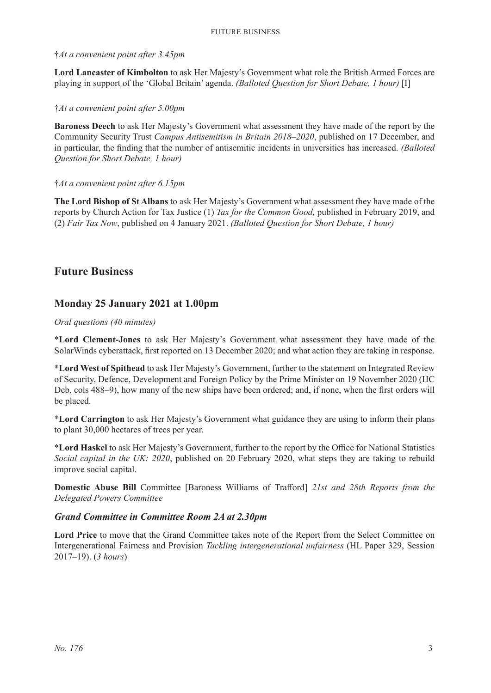#### †*At a convenient point after 3.45pm*

**Lord Lancaster of Kimbolton** to ask Her Majesty's Government what role the British Armed Forces are playing in support of the 'Global Britain' agenda. *(Balloted Question for Short Debate, 1 hour)* [I]

#### †*At a convenient point after 5.00pm*

**Baroness Deech** to ask Her Majesty's Government what assessment they have made of the report by the Community Security Trust *Campus Antisemitism in Britain 2018–2020*, published on 17 December, and in particular, the finding that the number of antisemitic incidents in universities has increased. *(Balloted Question for Short Debate, 1 hour)*

#### †*At a convenient point after 6.15pm*

**The Lord Bishop of St Albans** to ask Her Majesty's Government what assessment they have made of the reports by Church Action for Tax Justice (1) *Tax for the Common Good,* published in February 2019, and (2) *Fair Tax Now*, published on 4 January 2021. *(Balloted Question for Short Debate, 1 hour)*

# **Future Business**

# **Monday 25 January 2021 at 1.00pm**

#### *Oral questions (40 minutes)*

\***Lord Clement-Jones** to ask Her Majesty's Government what assessment they have made of the SolarWinds cyberattack, first reported on 13 December 2020; and what action they are taking in response.

\***Lord West of Spithead** to ask Her Majesty's Government, further to the statement on Integrated Review of Security, Defence, Development and Foreign Policy by the Prime Minister on 19 November 2020 (HC Deb, cols 488–9), how many of the new ships have been ordered; and, if none, when the first orders will be placed.

\***Lord Carrington** to ask Her Majesty's Government what guidance they are using to inform their plans to plant 30,000 hectares of trees per year.

\***Lord Haskel** to ask Her Majesty's Government, further to the report by the Office for National Statistics *Social capital in the UK: 2020*, published on 20 February 2020, what steps they are taking to rebuild improve social capital.

**Domestic Abuse Bill** Committee [Baroness Williams of Trafford] *21st and 28th Reports from the Delegated Powers Committee*

#### *Grand Committee in Committee Room 2A at 2.30pm*

**Lord Price** to move that the Grand Committee takes note of the Report from the Select Committee on Intergenerational Fairness and Provision *Tackling intergenerational unfairness* (HL Paper 329, Session 2017–19). (*3 hours*)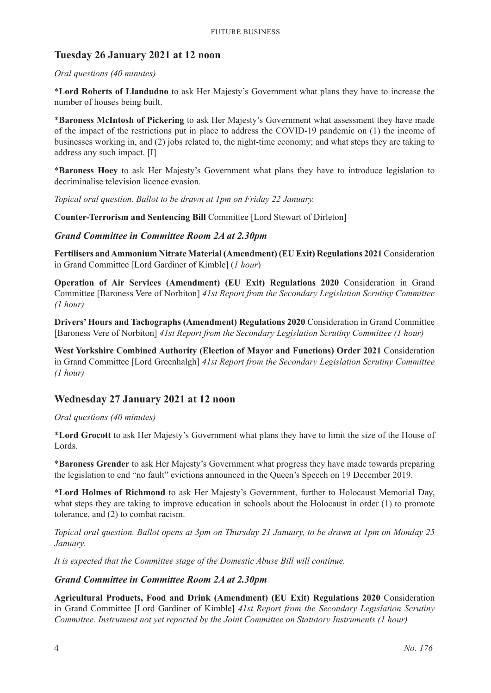# **Tuesday 26 January 2021 at 12 noon**

#### *Oral questions (40 minutes)*

\***Lord Roberts of Llandudno** to ask Her Majesty's Government what plans they have to increase the number of houses being built.

\***Baroness McIntosh of Pickering** to ask Her Majesty's Government what assessment they have made of the impact of the restrictions put in place to address the COVID-19 pandemic on (1) the income of businesses working in, and (2) jobs related to, the night-time economy; and what steps they are taking to address any such impact. [I]

\***Baroness Hoey** to ask Her Majesty's Government what plans they have to introduce legislation to decriminalise television licence evasion.

*Topical oral question. Ballot to be drawn at 1pm on Friday 22 January.*

**Counter-Terrorism and Sentencing Bill** Committee [Lord Stewart of Dirleton]

#### *Grand Committee in Committee Room 2A at 2.30pm*

**Fertilisers and Ammonium Nitrate Material (Amendment) (EU Exit) Regulations 2021** Consideration in Grand Committee [Lord Gardiner of Kimble] (*1 hour*)

**Operation of Air Services (Amendment) (EU Exit) Regulations 2020** Consideration in Grand Committee [Baroness Vere of Norbiton] *41st Report from the Secondary Legislation Scrutiny Committee (1 hour)*

**Drivers' Hours and Tachographs (Amendment) Regulations 2020** Consideration in Grand Committee [Baroness Vere of Norbiton] *41st Report from the Secondary Legislation Scrutiny Committee (1 hour)*

**West Yorkshire Combined Authority (Election of Mayor and Functions) Order 2021** Consideration in Grand Committee [Lord Greenhalgh] *41st Report from the Secondary Legislation Scrutiny Committee (1 hour)*

### **Wednesday 27 January 2021 at 12 noon**

#### *Oral questions (40 minutes)*

\***Lord Grocott** to ask Her Majesty's Government what plans they have to limit the size of the House of Lords.

\***Baroness Grender** to ask Her Majesty's Government what progress they have made towards preparing the legislation to end "no fault" evictions announced in the Queen's Speech on 19 December 2019.

\***Lord Holmes of Richmond** to ask Her Majesty's Government, further to Holocaust Memorial Day, what steps they are taking to improve education in schools about the Holocaust in order (1) to promote tolerance, and (2) to combat racism.

*Topical oral question. Ballot opens at 3pm on Thursday 21 January, to be drawn at 1pm on Monday 25 January.*

*It is expected that the Committee stage of the Domestic Abuse Bill will continue.*

#### *Grand Committee in Committee Room 2A at 2.30pm*

**Agricultural Products, Food and Drink (Amendment) (EU Exit) Regulations 2020** Consideration in Grand Committee [Lord Gardiner of Kimble] *41st Report from the Secondary Legislation Scrutiny Committee. Instrument not yet reported by the Joint Committee on Statutory Instruments (1 hour)*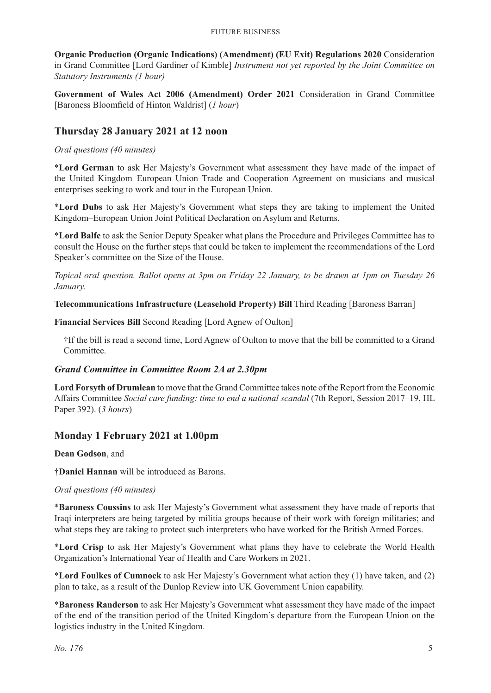**Organic Production (Organic Indications) (Amendment) (EU Exit) Regulations 2020** Consideration in Grand Committee [Lord Gardiner of Kimble] *Instrument not yet reported by the Joint Committee on Statutory Instruments (1 hour)*

**Government of Wales Act 2006 (Amendment) Order 2021** Consideration in Grand Committee [Baroness Bloomfield of Hinton Waldrist] (*1 hour*)

# **Thursday 28 January 2021 at 12 noon**

#### *Oral questions (40 minutes)*

\***Lord German** to ask Her Majesty's Government what assessment they have made of the impact of the United Kingdom–European Union Trade and Cooperation Agreement on musicians and musical enterprises seeking to work and tour in the European Union.

\***Lord Dubs** to ask Her Majesty's Government what steps they are taking to implement the United Kingdom–European Union Joint Political Declaration on Asylum and Returns.

\***Lord Balfe** to ask the Senior Deputy Speaker what plans the Procedure and Privileges Committee has to consult the House on the further steps that could be taken to implement the recommendations of the Lord Speaker's committee on the Size of the House.

*Topical oral question. Ballot opens at 3pm on Friday 22 January, to be drawn at 1pm on Tuesday 26 January.*

**Telecommunications Infrastructure (Leasehold Property) Bill** Third Reading [Baroness Barran]

**Financial Services Bill** Second Reading [Lord Agnew of Oulton]

†If the bill is read a second time, Lord Agnew of Oulton to move that the bill be committed to a Grand Committee.

#### *Grand Committee in Committee Room 2A at 2.30pm*

**Lord Forsyth of Drumlean** to move that the Grand Committee takes note of the Report from the Economic Affairs Committee *Social care funding: time to end a national scandal* (7th Report, Session 2017–19, HL Paper 392). (*3 hours*)

### **Monday 1 February 2021 at 1.00pm**

**Dean Godson**, and

†**Daniel Hannan** will be introduced as Barons.

#### *Oral questions (40 minutes)*

\***Baroness Coussins** to ask Her Majesty's Government what assessment they have made of reports that Iraqi interpreters are being targeted by militia groups because of their work with foreign militaries; and what steps they are taking to protect such interpreters who have worked for the British Armed Forces.

\***Lord Crisp** to ask Her Majesty's Government what plans they have to celebrate the World Health Organization's International Year of Health and Care Workers in 2021.

\***Lord Foulkes of Cumnock** to ask Her Majesty's Government what action they (1) have taken, and (2) plan to take, as a result of the Dunlop Review into UK Government Union capability.

\***Baroness Randerson** to ask Her Majesty's Government what assessment they have made of the impact of the end of the transition period of the United Kingdom's departure from the European Union on the logistics industry in the United Kingdom.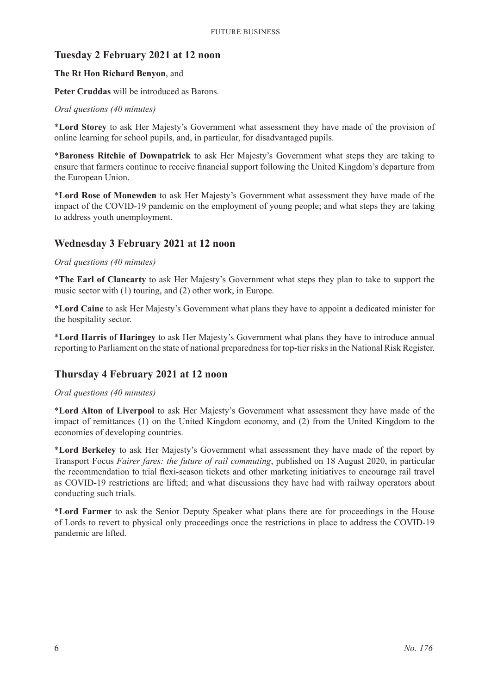# **Tuesday 2 February 2021 at 12 noon**

#### **The Rt Hon Richard Benyon**, and

**Peter Cruddas** will be introduced as Barons.

#### *Oral questions (40 minutes)*

\***Lord Storey** to ask Her Majesty's Government what assessment they have made of the provision of online learning for school pupils, and, in particular, for disadvantaged pupils.

\***Baroness Ritchie of Downpatrick** to ask Her Majesty's Government what steps they are taking to ensure that farmers continue to receive financial support following the United Kingdom's departure from the European Union.

\***Lord Rose of Monewden** to ask Her Majesty's Government what assessment they have made of the impact of the COVID-19 pandemic on the employment of young people; and what steps they are taking to address youth unemployment.

# **Wednesday 3 February 2021 at 12 noon**

#### *Oral questions (40 minutes)*

\***The Earl of Clancarty** to ask Her Majesty's Government what steps they plan to take to support the music sector with (1) touring, and (2) other work, in Europe.

\***Lord Caine** to ask Her Majesty's Government what plans they have to appoint a dedicated minister for the hospitality sector.

\***Lord Harris of Haringey** to ask Her Majesty's Government what plans they have to introduce annual reporting to Parliament on the state of national preparedness for top-tier risks in the National Risk Register.

# **Thursday 4 February 2021 at 12 noon**

#### *Oral questions (40 minutes)*

\***Lord Alton of Liverpool** to ask Her Majesty's Government what assessment they have made of the impact of remittances (1) on the United Kingdom economy, and (2) from the United Kingdom to the economies of developing countries.

\***Lord Berkeley** to ask Her Majesty's Government what assessment they have made of the report by Transport Focus *Fairer fares: the future of rail commuting*, published on 18 August 2020, in particular the recommendation to trial flexi-season tickets and other marketing initiatives to encourage rail travel as COVID-19 restrictions are lifted; and what discussions they have had with railway operators about conducting such trials.

\***Lord Farmer** to ask the Senior Deputy Speaker what plans there are for proceedings in the House of Lords to revert to physical only proceedings once the restrictions in place to address the COVID-19 pandemic are lifted.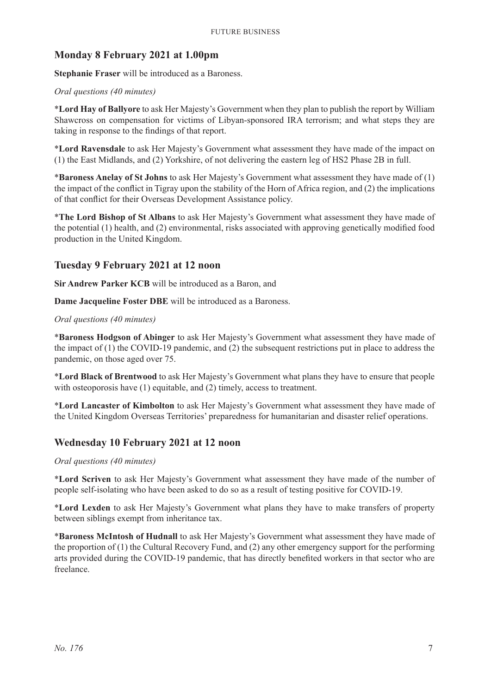# **Monday 8 February 2021 at 1.00pm**

**Stephanie Fraser** will be introduced as a Baroness.

#### *Oral questions (40 minutes)*

\***Lord Hay of Ballyore** to ask Her Majesty's Government when they plan to publish the report by William Shawcross on compensation for victims of Libyan-sponsored IRA terrorism; and what steps they are taking in response to the findings of that report.

\***Lord Ravensdale** to ask Her Majesty's Government what assessment they have made of the impact on (1) the East Midlands, and (2) Yorkshire, of not delivering the eastern leg of HS2 Phase 2B in full.

\***Baroness Anelay of St Johns** to ask Her Majesty's Government what assessment they have made of (1) the impact of the conflict in Tigray upon the stability of the Horn of Africa region, and (2) the implications of that conflict for their Overseas Development Assistance policy.

\***The Lord Bishop of St Albans** to ask Her Majesty's Government what assessment they have made of the potential (1) health, and (2) environmental, risks associated with approving genetically modified food production in the United Kingdom.

### **Tuesday 9 February 2021 at 12 noon**

**Sir Andrew Parker KCB** will be introduced as a Baron, and

**Dame Jacqueline Foster DBE** will be introduced as a Baroness.

#### *Oral questions (40 minutes)*

\***Baroness Hodgson of Abinger** to ask Her Majesty's Government what assessment they have made of the impact of (1) the COVID-19 pandemic, and (2) the subsequent restrictions put in place to address the pandemic, on those aged over 75.

\***Lord Black of Brentwood** to ask Her Majesty's Government what plans they have to ensure that people with osteoporosis have (1) equitable, and (2) timely, access to treatment.

\***Lord Lancaster of Kimbolton** to ask Her Majesty's Government what assessment they have made of the United Kingdom Overseas Territories' preparedness for humanitarian and disaster relief operations.

### **Wednesday 10 February 2021 at 12 noon**

#### *Oral questions (40 minutes)*

\***Lord Scriven** to ask Her Majesty's Government what assessment they have made of the number of people self-isolating who have been asked to do so as a result of testing positive for COVID-19.

\***Lord Lexden** to ask Her Majesty's Government what plans they have to make transfers of property between siblings exempt from inheritance tax.

\***Baroness McIntosh of Hudnall** to ask Her Majesty's Government what assessment they have made of the proportion of (1) the Cultural Recovery Fund, and (2) any other emergency support for the performing arts provided during the COVID-19 pandemic, that has directly benefited workers in that sector who are freelance.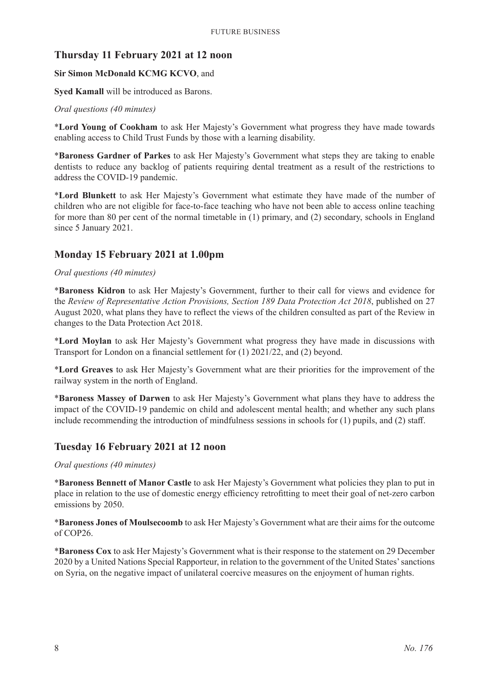# **Thursday 11 February 2021 at 12 noon**

#### **Sir Simon McDonald KCMG KCVO**, and

**Syed Kamall** will be introduced as Barons.

#### *Oral questions (40 minutes)*

\***Lord Young of Cookham** to ask Her Majesty's Government what progress they have made towards enabling access to Child Trust Funds by those with a learning disability.

\***Baroness Gardner of Parkes** to ask Her Majesty's Government what steps they are taking to enable dentists to reduce any backlog of patients requiring dental treatment as a result of the restrictions to address the COVID-19 pandemic.

\***Lord Blunkett** to ask Her Majesty's Government what estimate they have made of the number of children who are not eligible for face-to-face teaching who have not been able to access online teaching for more than 80 per cent of the normal timetable in (1) primary, and (2) secondary, schools in England since 5 January 2021.

# **Monday 15 February 2021 at 1.00pm**

#### *Oral questions (40 minutes)*

\***Baroness Kidron** to ask Her Majesty's Government, further to their call for views and evidence for the *Review of Representative Action Provisions, Section 189 Data Protection Act 2018*, published on 27 August 2020, what plans they have to reflect the views of the children consulted as part of the Review in changes to the Data Protection Act 2018.

\***Lord Moylan** to ask Her Majesty's Government what progress they have made in discussions with Transport for London on a financial settlement for (1) 2021/22, and (2) beyond.

\***Lord Greaves** to ask Her Majesty's Government what are their priorities for the improvement of the railway system in the north of England.

\***Baroness Massey of Darwen** to ask Her Majesty's Government what plans they have to address the impact of the COVID-19 pandemic on child and adolescent mental health; and whether any such plans include recommending the introduction of mindfulness sessions in schools for (1) pupils, and (2) staff.

### **Tuesday 16 February 2021 at 12 noon**

#### *Oral questions (40 minutes)*

\***Baroness Bennett of Manor Castle** to ask Her Majesty's Government what policies they plan to put in place in relation to the use of domestic energy efficiency retrofitting to meet their goal of net-zero carbon emissions by 2050.

\***Baroness Jones of Moulsecoomb** to ask Her Majesty's Government what are their aims for the outcome of COP26.

\***Baroness Cox** to ask Her Majesty's Government what is their response to the statement on 29 December 2020 by a United Nations Special Rapporteur, in relation to the government of the United States' sanctions on Syria, on the negative impact of unilateral coercive measures on the enjoyment of human rights.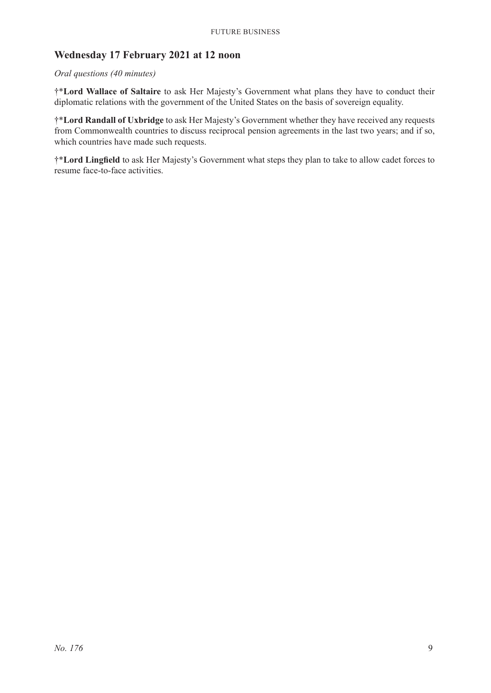# **Wednesday 17 February 2021 at 12 noon**

#### *Oral questions (40 minutes)*

†\***Lord Wallace of Saltaire** to ask Her Majesty's Government what plans they have to conduct their diplomatic relations with the government of the United States on the basis of sovereign equality.

†\***Lord Randall of Uxbridge** to ask Her Majesty's Government whether they have received any requests from Commonwealth countries to discuss reciprocal pension agreements in the last two years; and if so, which countries have made such requests.

†\***Lord Lingfield** to ask Her Majesty's Government what steps they plan to take to allow cadet forces to resume face-to-face activities.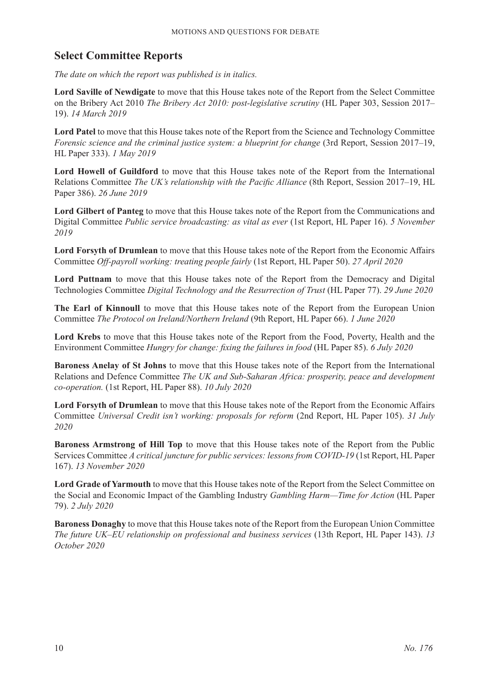# **Select Committee Reports**

*The date on which the report was published is in italics.*

**Lord Saville of Newdigate** to move that this House takes note of the Report from the Select Committee on the Bribery Act 2010 *The Bribery Act 2010: post-legislative scrutiny* (HL Paper 303, Session 2017– 19). *14 March 2019*

**Lord Patel** to move that this House takes note of the Report from the Science and Technology Committee *Forensic science and the criminal justice system: a blueprint for change* (3rd Report, Session 2017–19, HL Paper 333). *1 May 2019*

**Lord Howell of Guildford** to move that this House takes note of the Report from the International Relations Committee *The UK's relationship with the Pacific Alliance* (8th Report, Session 2017–19, HL Paper 386). *26 June 2019*

**Lord Gilbert of Panteg** to move that this House takes note of the Report from the Communications and Digital Committee *Public service broadcasting: as vital as ever* (1st Report, HL Paper 16). *5 November 2019*

**Lord Forsyth of Drumlean** to move that this House takes note of the Report from the Economic Affairs Committee *Off-payroll working: treating people fairly* (1st Report, HL Paper 50). *27 April 2020*

Lord Puttnam to move that this House takes note of the Report from the Democracy and Digital Technologies Committee *Digital Technology and the Resurrection of Trust* (HL Paper 77). *29 June 2020*

**The Earl of Kinnoull** to move that this House takes note of the Report from the European Union Committee *The Protocol on Ireland/Northern Ireland* (9th Report, HL Paper 66). *1 June 2020*

**Lord Krebs** to move that this House takes note of the Report from the Food, Poverty, Health and the Environment Committee *Hungry for change: fixing the failures in food* (HL Paper 85). *6 July 2020*

**Baroness Anelay of St Johns** to move that this House takes note of the Report from the International Relations and Defence Committee *The UK and Sub-Saharan Africa: prosperity, peace and development co-operation.* (1st Report, HL Paper 88). *10 July 2020*

**Lord Forsyth of Drumlean** to move that this House takes note of the Report from the Economic Affairs Committee *Universal Credit isn't working: proposals for reform* (2nd Report, HL Paper 105). *31 July 2020*

**Baroness Armstrong of Hill Top** to move that this House takes note of the Report from the Public Services Committee *A critical juncture for public services: lessons from COVID-19* (1st Report, HL Paper 167). *13 November 2020*

**Lord Grade of Yarmouth** to move that this House takes note of the Report from the Select Committee on the Social and Economic Impact of the Gambling Industry *Gambling Harm—Time for Action* (HL Paper 79). *2 July 2020*

**Baroness Donaghy** to move that this House takes note of the Report from the European Union Committee *The future UK–EU relationship on professional and business services* (13th Report, HL Paper 143). *13 October 2020*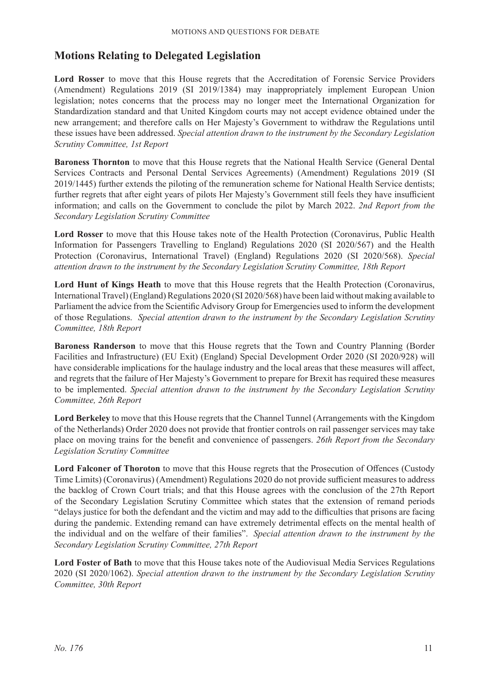# **Motions Relating to Delegated Legislation**

**Lord Rosser** to move that this House regrets that the Accreditation of Forensic Service Providers (Amendment) Regulations 2019 (SI 2019/1384) may inappropriately implement European Union legislation; notes concerns that the process may no longer meet the International Organization for Standardization standard and that United Kingdom courts may not accept evidence obtained under the new arrangement; and therefore calls on Her Majesty's Government to withdraw the Regulations until these issues have been addressed. *Special attention drawn to the instrument by the Secondary Legislation Scrutiny Committee, 1st Report*

**Baroness Thornton** to move that this House regrets that the National Health Service (General Dental Services Contracts and Personal Dental Services Agreements) (Amendment) Regulations 2019 (SI 2019/1445) further extends the piloting of the remuneration scheme for National Health Service dentists; further regrets that after eight years of pilots Her Majesty's Government still feels they have insufficient information; and calls on the Government to conclude the pilot by March 2022. *2nd Report from the Secondary Legislation Scrutiny Committee*

**Lord Rosser** to move that this House takes note of the Health Protection (Coronavirus, Public Health Information for Passengers Travelling to England) Regulations 2020 (SI 2020/567) and the Health Protection (Coronavirus, International Travel) (England) Regulations 2020 (SI 2020/568). *Special attention drawn to the instrument by the Secondary Legislation Scrutiny Committee, 18th Report*

Lord Hunt of Kings Heath to move that this House regrets that the Health Protection (Coronavirus, International Travel) (England) Regulations 2020 (SI 2020/568) have been laid without making available to Parliament the advice from the Scientific Advisory Group for Emergencies used to inform the development of those Regulations. *Special attention drawn to the instrument by the Secondary Legislation Scrutiny Committee, 18th Report*

**Baroness Randerson** to move that this House regrets that the Town and Country Planning (Border Facilities and Infrastructure) (EU Exit) (England) Special Development Order 2020 (SI 2020/928) will have considerable implications for the haulage industry and the local areas that these measures will affect, and regrets that the failure of Her Majesty's Government to prepare for Brexit has required these measures to be implemented. *Special attention drawn to the instrument by the Secondary Legislation Scrutiny Committee, 26th Report*

**Lord Berkeley** to move that this House regrets that the Channel Tunnel (Arrangements with the Kingdom of the Netherlands) Order 2020 does not provide that frontier controls on rail passenger services may take place on moving trains for the benefit and convenience of passengers. *26th Report from the Secondary Legislation Scrutiny Committee*

**Lord Falconer of Thoroton** to move that this House regrets that the Prosecution of Offences (Custody Time Limits) (Coronavirus) (Amendment) Regulations 2020 do not provide sufficient measures to address the backlog of Crown Court trials; and that this House agrees with the conclusion of the 27th Report of the Secondary Legislation Scrutiny Committee which states that the extension of remand periods "delays justice for both the defendant and the victim and may add to the difficulties that prisons are facing during the pandemic. Extending remand can have extremely detrimental effects on the mental health of the individual and on the welfare of their families". *Special attention drawn to the instrument by the Secondary Legislation Scrutiny Committee, 27th Report*

**Lord Foster of Bath** to move that this House takes note of the Audiovisual Media Services Regulations 2020 (SI 2020/1062). *Special attention drawn to the instrument by the Secondary Legislation Scrutiny Committee, 30th Report*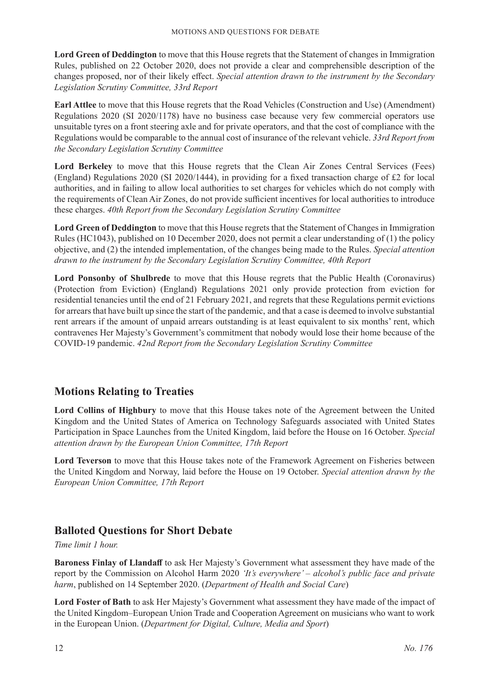**Lord Green of Deddington** to move that this House regrets that the Statement of changes in Immigration Rules, published on 22 October 2020, does not provide a clear and comprehensible description of the changes proposed, nor of their likely effect. *Special attention drawn to the instrument by the Secondary Legislation Scrutiny Committee, 33rd Report*

**Earl Attlee** to move that this House regrets that the Road Vehicles (Construction and Use) (Amendment) Regulations 2020 (SI 2020/1178) have no business case because very few commercial operators use unsuitable tyres on a front steering axle and for private operators, and that the cost of compliance with the Regulations would be comparable to the annual cost of insurance of the relevant vehicle. *33rd Report from the Secondary Legislation Scrutiny Committee*

**Lord Berkeley** to move that this House regrets that the Clean Air Zones Central Services (Fees) (England) Regulations 2020 (SI 2020/1444), in providing for a fixed transaction charge of £2 for local authorities, and in failing to allow local authorities to set charges for vehicles which do not comply with the requirements of Clean Air Zones, do not provide sufficient incentives for local authorities to introduce these charges. *40th Report from the Secondary Legislation Scrutiny Committee*

**Lord Green of Deddington** to move that this House regrets that the Statement of Changes in Immigration Rules (HC1043), published on 10 December 2020, does not permit a clear understanding of (1) the policy objective, and (2) the intended implementation, of the changes being made to the Rules. *Special attention drawn to the instrument by the Secondary Legislation Scrutiny Committee, 40th Report*

**Lord Ponsonby of Shulbrede** to move that this House regrets that the Public Health (Coronavirus) (Protection from Eviction) (England) Regulations 2021 only provide protection from eviction for residential tenancies until the end of 21 February 2021, and regrets that these Regulations permit evictions for arrears that have built up since the start of the pandemic, and that a case is deemed to involve substantial rent arrears if the amount of unpaid arrears outstanding is at least equivalent to six months' rent, which contravenes Her Majesty's Government's commitment that nobody would lose their home because of the COVID-19 pandemic. *42nd Report from the Secondary Legislation Scrutiny Committee*

# **Motions Relating to Treaties**

**Lord Collins of Highbury** to move that this House takes note of the Agreement between the United Kingdom and the United States of America on Technology Safeguards associated with United States Participation in Space Launches from the United Kingdom, laid before the House on 16 October. *Special attention drawn by the European Union Committee, 17th Report*

**Lord Teverson** to move that this House takes note of the Framework Agreement on Fisheries between the United Kingdom and Norway, laid before the House on 19 October. *Special attention drawn by the European Union Committee, 17th Report*

# **Balloted Questions for Short Debate**

#### *Time limit 1 hour.*

**Baroness Finlay of Llandaff** to ask Her Majesty's Government what assessment they have made of the report by the Commission on Alcohol Harm 2020 *'It's everywhere' – alcohol's public face and private harm*, published on 14 September 2020. (*Department of Health and Social Care*)

**Lord Foster of Bath** to ask Her Majesty's Government what assessment they have made of the impact of the United Kingdom–European Union Trade and Cooperation Agreement on musicians who want to work in the European Union. (*Department for Digital, Culture, Media and Sport*)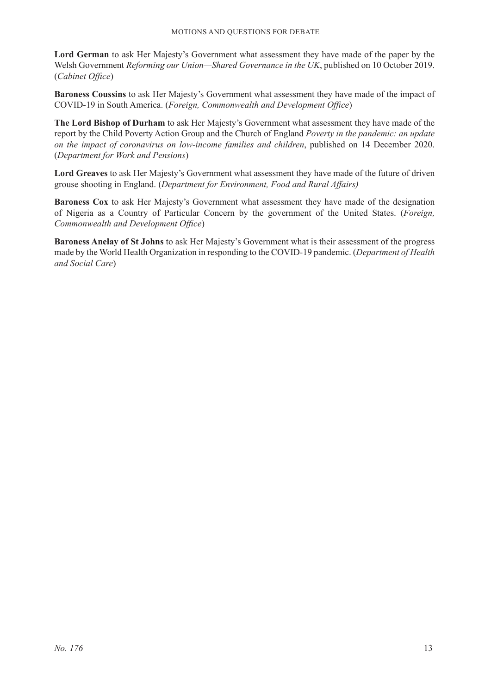**Lord German** to ask Her Majesty's Government what assessment they have made of the paper by the Welsh Government *Reforming our Union—Shared Governance in the UK*, published on 10 October 2019. (*Cabinet Office*)

**Baroness Coussins** to ask Her Majesty's Government what assessment they have made of the impact of COVID-19 in South America. (*Foreign, Commonwealth and Development Office*)

**The Lord Bishop of Durham** to ask Her Majesty's Government what assessment they have made of the report by the Child Poverty Action Group and the Church of England *Poverty in the pandemic: an update on the impact of coronavirus on low-income families and children*, published on 14 December 2020. (*Department for Work and Pensions*)

**Lord Greaves** to ask Her Majesty's Government what assessment they have made of the future of driven grouse shooting in England. (*Department for Environment, Food and Rural Affairs)*

**Baroness Cox** to ask Her Majesty's Government what assessment they have made of the designation of Nigeria as a Country of Particular Concern by the government of the United States. (*Foreign, Commonwealth and Development Office*)

**Baroness Anelay of St Johns** to ask Her Majesty's Government what is their assessment of the progress made by the World Health Organization in responding to the COVID-19 pandemic. (*Department of Health and Social Care*)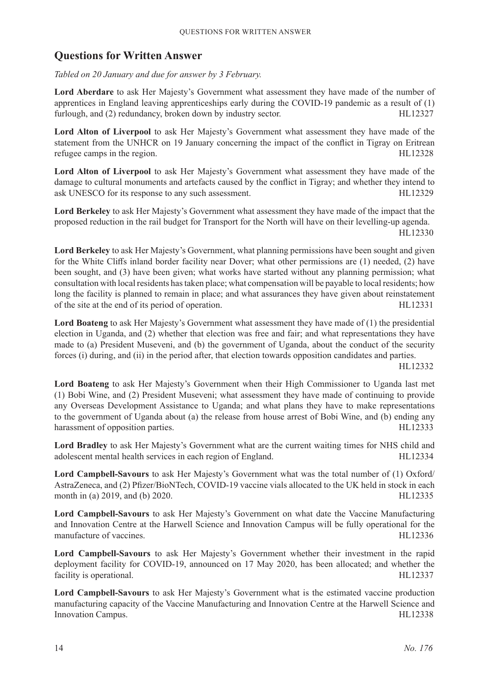# **Questions for Written Answer**

*Tabled on 20 January and due for answer by 3 February.*

**Lord Aberdare** to ask Her Majesty's Government what assessment they have made of the number of apprentices in England leaving apprenticeships early during the COVID-19 pandemic as a result of (1) furlough, and (2) redundancy, broken down by industry sector. HL12327

**Lord Alton of Liverpool** to ask Her Majesty's Government what assessment they have made of the statement from the UNHCR on 19 January concerning the impact of the conflict in Tigray on Eritrean refugee camps in the region. HL12328

**Lord Alton of Liverpool** to ask Her Majesty's Government what assessment they have made of the damage to cultural monuments and artefacts caused by the conflict in Tigray; and whether they intend to ask UNESCO for its response to any such assessment. HL12329

**Lord Berkeley** to ask Her Majesty's Government what assessment they have made of the impact that the proposed reduction in the rail budget for Transport for the North will have on their levelling-up agenda. HL12330

**Lord Berkeley** to ask Her Majesty's Government, what planning permissions have been sought and given for the White Cliffs inland border facility near Dover; what other permissions are (1) needed, (2) have been sought, and (3) have been given; what works have started without any planning permission; what consultation with local residents has taken place; what compensation will be payable to local residents; how long the facility is planned to remain in place; and what assurances they have given about reinstatement of the site at the end of its period of operation. HL12331

**Lord Boateng** to ask Her Majesty's Government what assessment they have made of (1) the presidential election in Uganda, and (2) whether that election was free and fair; and what representations they have made to (a) President Museveni, and (b) the government of Uganda, about the conduct of the security forces (i) during, and (ii) in the period after, that election towards opposition candidates and parties.

HL12332

**Lord Boateng** to ask Her Majesty's Government when their High Commissioner to Uganda last met (1) Bobi Wine, and (2) President Museveni; what assessment they have made of continuing to provide any Overseas Development Assistance to Uganda; and what plans they have to make representations to the government of Uganda about (a) the release from house arrest of Bobi Wine, and (b) ending any harassment of opposition parties. HL12333

**Lord Bradley** to ask Her Majesty's Government what are the current waiting times for NHS child and adolescent mental health services in each region of England. HL12334

**Lord Campbell-Savours** to ask Her Majesty's Government what was the total number of (1) Oxford/ AstraZeneca, and (2) Pfizer/BioNTech, COVID-19 vaccine vials allocated to the UK held in stock in each month in (a) 2019, and (b) 2020. HL12335

**Lord Campbell-Savours** to ask Her Majesty's Government on what date the Vaccine Manufacturing and Innovation Centre at the Harwell Science and Innovation Campus will be fully operational for the manufacture of vaccines. HL12336

**Lord Campbell-Savours** to ask Her Majesty's Government whether their investment in the rapid deployment facility for COVID-19, announced on 17 May 2020, has been allocated; and whether the facility is operational. HL12337

**Lord Campbell-Savours** to ask Her Majesty's Government what is the estimated vaccine production manufacturing capacity of the Vaccine Manufacturing and Innovation Centre at the Harwell Science and Innovation Campus. HL12338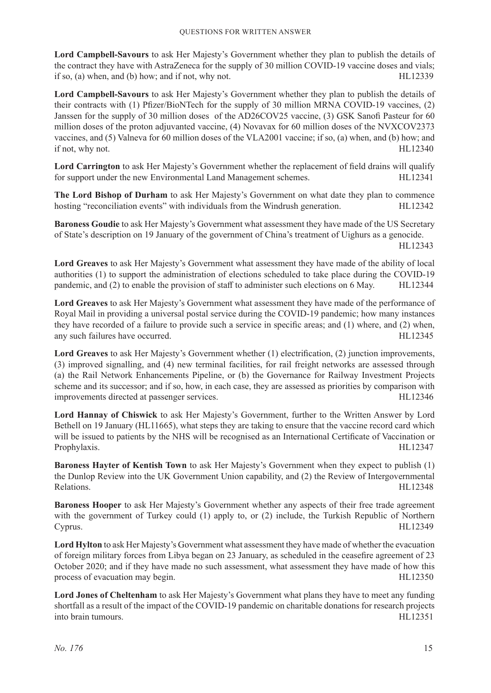**Lord Campbell-Savours** to ask Her Majesty's Government whether they plan to publish the details of the contract they have with AstraZeneca for the supply of 30 million COVID-19 vaccine doses and vials; if so, (a) when, and (b) how; and if not, why not.  $HL12339$ 

**Lord Campbell-Savours** to ask Her Majesty's Government whether they plan to publish the details of their contracts with (1) Pfizer/BioNTech for the supply of 30 million MRNA COVID-19 vaccines, (2) Janssen for the supply of 30 million doses of the AD26COV25 vaccine, (3) GSK Sanofi Pasteur for 60 million doses of the proton adjuvanted vaccine, (4) Novavax for 60 million doses of the NVXCOV2373 vaccines, and (5) Valneva for 60 million doses of the VLA2001 vaccine; if so, (a) when, and (b) how; and if not, why not. HL12340

**Lord Carrington** to ask Her Majesty's Government whether the replacement of field drains will qualify for support under the new Environmental Land Management schemes. HL12341

**The Lord Bishop of Durham** to ask Her Majesty's Government on what date they plan to commence hosting "reconciliation events" with individuals from the Windrush generation. HL12342

**Baroness Goudie** to ask Her Majesty's Government what assessment they have made of the US Secretary of State's description on 19 January of the government of China's treatment of Uighurs as a genocide.

HL12343

**Lord Greaves** to ask Her Majesty's Government what assessment they have made of the ability of local authorities (1) to support the administration of elections scheduled to take place during the COVID-19 pandemic, and (2) to enable the provision of staff to administer such elections on 6 May. HL12344

**Lord Greaves** to ask Her Majesty's Government what assessment they have made of the performance of Royal Mail in providing a universal postal service during the COVID-19 pandemic; how many instances they have recorded of a failure to provide such a service in specific areas; and (1) where, and (2) when, any such failures have occurred. HL12345

**Lord Greaves** to ask Her Majesty's Government whether (1) electrification, (2) junction improvements, (3) improved signalling, and (4) new terminal facilities, for rail freight networks are assessed through (a) the Rail Network Enhancements Pipeline, or (b) the Governance for Railway Investment Projects scheme and its successor; and if so, how, in each case, they are assessed as priorities by comparison with improvements directed at passenger services. HL12346

**Lord Hannay of Chiswick** to ask Her Majesty's Government, further to the Written Answer by Lord Bethell on 19 January (HL11665), what steps they are taking to ensure that the vaccine record card which will be issued to patients by the NHS will be recognised as an International Certificate of Vaccination or Prophylaxis. HL12347

**Baroness Hayter of Kentish Town** to ask Her Majesty's Government when they expect to publish (1) the Dunlop Review into the UK Government Union capability, and (2) the Review of Intergovernmental Relations. HL12348

**Baroness Hooper** to ask Her Majesty's Government whether any aspects of their free trade agreement with the government of Turkey could (1) apply to, or (2) include, the Turkish Republic of Northern Cyprus. HL12349

**Lord Hylton** to ask Her Majesty's Government what assessment they have made of whether the evacuation of foreign military forces from Libya began on 23 January, as scheduled in the ceasefire agreement of 23 October 2020; and if they have made no such assessment, what assessment they have made of how this process of evacuation may begin. The same of the state of the state of the HL12350 HL12350

**Lord Jones of Cheltenham** to ask Her Majesty's Government what plans they have to meet any funding shortfall as a result of the impact of the COVID-19 pandemic on charitable donations for research projects into brain tumours. HL12351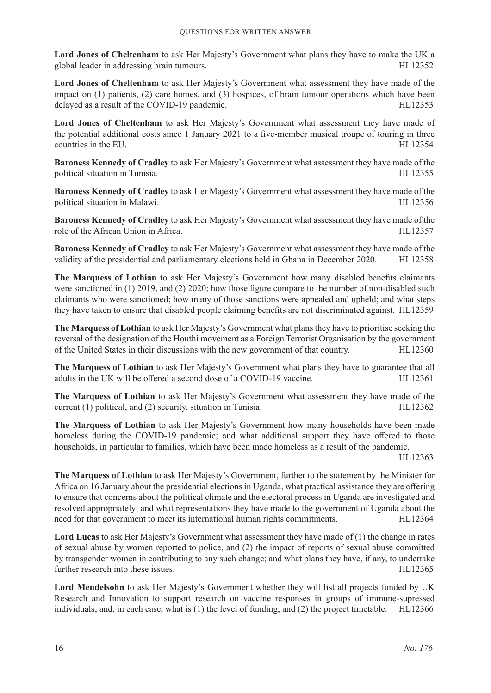**Lord Jones of Cheltenham** to ask Her Majesty's Government what plans they have to make the UK a global leader in addressing brain tumours. The same state of the state of the HL12352

**Lord Jones of Cheltenham** to ask Her Majesty's Government what assessment they have made of the impact on (1) patients, (2) care homes, and (3) hospices, of brain tumour operations which have been delayed as a result of the COVID-19 pandemic. HL12353

Lord Jones of Cheltenham to ask Her Majesty's Government what assessment they have made of the potential additional costs since 1 January 2021 to a five-member musical troupe of touring in three countries in the EU. HL12354

**Baroness Kennedy of Cradley** to ask Her Majesty's Government what assessment they have made of the political situation in Tunisia. The extension of the extension of the extension of the extension of the extension of the extension of the extension of the extension of the extension of the extension of the extension of the

**Baroness Kennedy of Cradley** to ask Her Majesty's Government what assessment they have made of the political situation in Malawi. HL12356

**Baroness Kennedy of Cradley** to ask Her Majesty's Government what assessment they have made of the role of the African Union in Africa. HL12357

**Baroness Kennedy of Cradley** to ask Her Majesty's Government what assessment they have made of the validity of the presidential and parliamentary elections held in Ghana in December 2020. HL12358

**The Marquess of Lothian** to ask Her Majesty's Government how many disabled benefits claimants were sanctioned in (1) 2019, and (2) 2020; how those figure compare to the number of non-disabled such claimants who were sanctioned; how many of those sanctions were appealed and upheld; and what steps they have taken to ensure that disabled people claiming benefits are not discriminated against. HL12359

**The Marquess of Lothian** to ask Her Majesty's Government what plans they have to prioritise seeking the reversal of the designation of the Houthi movement as a Foreign Terrorist Organisation by the government of the United States in their discussions with the new government of that country. HL12360

**The Marquess of Lothian** to ask Her Majesty's Government what plans they have to guarantee that all adults in the UK will be offered a second dose of a COVID-19 vaccine. HL12361

**The Marquess of Lothian** to ask Her Majesty's Government what assessment they have made of the current (1) political, and (2) security, situation in Tunisia. HL12362

**The Marquess of Lothian** to ask Her Majesty's Government how many households have been made homeless during the COVID-19 pandemic; and what additional support they have offered to those households, in particular to families, which have been made homeless as a result of the pandemic.

HL12363

**The Marquess of Lothian** to ask Her Majesty's Government, further to the statement by the Minister for Africa on 16 January about the presidential elections in Uganda, what practical assistance they are offering to ensure that concerns about the political climate and the electoral process in Uganda are investigated and resolved appropriately; and what representations they have made to the government of Uganda about the need for that government to meet its international human rights commitments. HL12364

**Lord Lucas** to ask Her Majesty's Government what assessment they have made of (1) the change in rates of sexual abuse by women reported to police, and (2) the impact of reports of sexual abuse committed by transgender women in contributing to any such change; and what plans they have, if any, to undertake further research into these issues. HL12365

**Lord Mendelsohn** to ask Her Majesty's Government whether they will list all projects funded by UK Research and Innovation to support research on vaccine responses in groups of immune-supressed individuals; and, in each case, what is (1) the level of funding, and (2) the project timetable. HL12366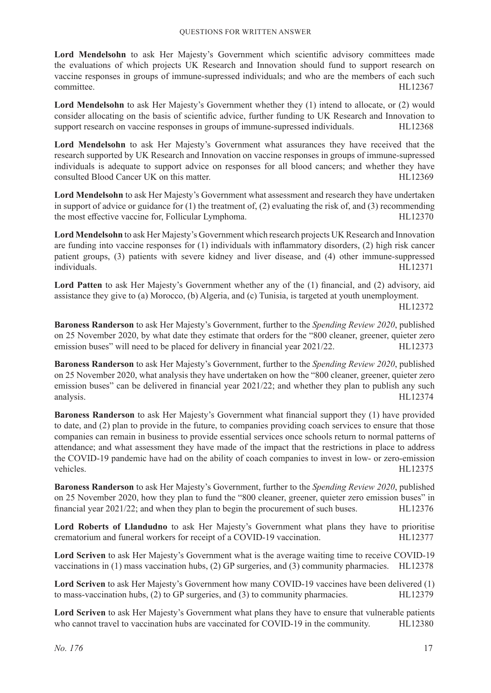Lord Mendelsohn to ask Her Majesty's Government which scientific advisory committees made the evaluations of which projects UK Research and Innovation should fund to support research on vaccine responses in groups of immune-supressed individuals; and who are the members of each such committee. HL12367

Lord Mendelsohn to ask Her Majesty's Government whether they (1) intend to allocate, or (2) would consider allocating on the basis of scientific advice, further funding to UK Research and Innovation to support research on vaccine responses in groups of immune-supressed individuals. HL12368

**Lord Mendelsohn** to ask Her Majesty's Government what assurances they have received that the research supported by UK Research and Innovation on vaccine responses in groups of immune-supressed individuals is adequate to support advice on responses for all blood cancers; and whether they have consulted Blood Cancer UK on this matter. HL12369

**Lord Mendelsohn** to ask Her Majesty's Government what assessment and research they have undertaken in support of advice or guidance for  $(1)$  the treatment of,  $(2)$  evaluating the risk of, and  $(3)$  recommending the most effective vaccine for, Follicular Lymphoma. 
HL12370

**Lord Mendelsohn** to ask Her Majesty's Government which research projects UK Research and Innovation are funding into vaccine responses for (1) individuals with inflammatory disorders, (2) high risk cancer patient groups, (3) patients with severe kidney and liver disease, and (4) other immune-suppressed individuals. HL12371

**Lord Patten** to ask Her Majesty's Government whether any of the (1) financial, and (2) advisory, aid assistance they give to (a) Morocco, (b) Algeria, and (c) Tunisia, is targeted at youth unemployment.

HL12372

**Baroness Randerson** to ask Her Majesty's Government, further to the *Spending Review 2020*, published on 25 November 2020, by what date they estimate that orders for the "800 cleaner, greener, quieter zero emission buses" will need to be placed for delivery in financial year 2021/22. HL12373

**Baroness Randerson** to ask Her Majesty's Government, further to the *Spending Review 2020*, published on 25 November 2020, what analysis they have undertaken on how the "800 cleaner, greener, quieter zero emission buses" can be delivered in financial year 2021/22; and whether they plan to publish any such analysis. HL12374

**Baroness Randerson** to ask Her Majesty's Government what financial support they (1) have provided to date, and (2) plan to provide in the future, to companies providing coach services to ensure that those companies can remain in business to provide essential services once schools return to normal patterns of attendance; and what assessment they have made of the impact that the restrictions in place to address the COVID-19 pandemic have had on the ability of coach companies to invest in low- or zero-emission vehicles. HL12375

**Baroness Randerson** to ask Her Majesty's Government, further to the *Spending Review 2020*, published on 25 November 2020, how they plan to fund the "800 cleaner, greener, quieter zero emission buses" in financial year 2021/22; and when they plan to begin the procurement of such buses. HL12376

**Lord Roberts of Llandudno** to ask Her Majesty's Government what plans they have to prioritise crematorium and funeral workers for receipt of a COVID-19 vaccination. HL12377

**Lord Scriven** to ask Her Majesty's Government what is the average waiting time to receive COVID-19 vaccinations in (1) mass vaccination hubs, (2) GP surgeries, and (3) community pharmacies. HL12378

**Lord Scriven** to ask Her Majesty's Government how many COVID-19 vaccines have been delivered (1) to mass-vaccination hubs, (2) to GP surgeries, and (3) to community pharmacies. HL12379

**Lord Scriven** to ask Her Majesty's Government what plans they have to ensure that vulnerable patients who cannot travel to vaccination hubs are vaccinated for COVID-19 in the community. HL12380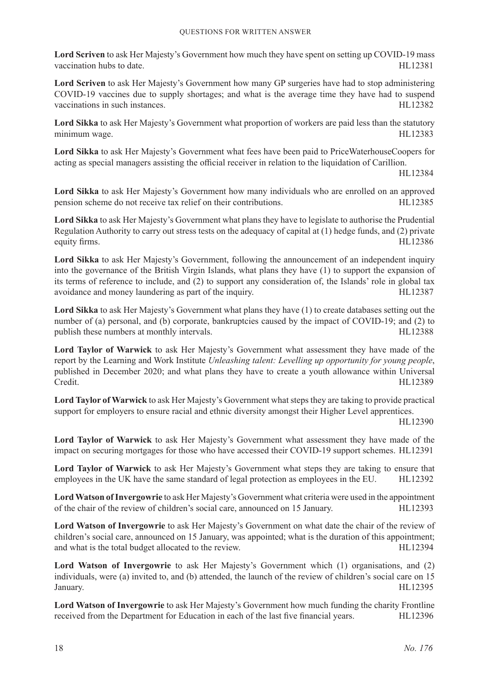**Lord Scriven** to ask Her Majesty's Government how much they have spent on setting up COVID-19 mass vaccination hubs to date. HL12381

**Lord Scriven** to ask Her Majesty's Government how many GP surgeries have had to stop administering COVID-19 vaccines due to supply shortages; and what is the average time they have had to suspend vaccinations in such instances. The such instances of the such as the such as the such as the HL12382

**Lord Sikka** to ask Her Majesty's Government what proportion of workers are paid less than the statutory minimum wage. HL12383

**Lord Sikka** to ask Her Majesty's Government what fees have been paid to PriceWaterhouseCoopers for acting as special managers assisting the official receiver in relation to the liquidation of Carillion.

HL12384

**Lord Sikka** to ask Her Majesty's Government how many individuals who are enrolled on an approved pension scheme do not receive tax relief on their contributions. HL12385

**Lord Sikka** to ask Her Majesty's Government what plans they have to legislate to authorise the Prudential Regulation Authority to carry out stress tests on the adequacy of capital at (1) hedge funds, and (2) private equity firms. HL12386

**Lord Sikka** to ask Her Majesty's Government, following the announcement of an independent inquiry into the governance of the British Virgin Islands, what plans they have (1) to support the expansion of its terms of reference to include, and (2) to support any consideration of, the Islands' role in global tax avoidance and money laundering as part of the inquiry. HL12387

**Lord Sikka** to ask Her Majesty's Government what plans they have (1) to create databases setting out the number of (a) personal, and (b) corporate, bankruptcies caused by the impact of COVID-19; and (2) to publish these numbers at monthly intervals. The matrix of the matrix of the HL12388

**Lord Taylor of Warwick** to ask Her Majesty's Government what assessment they have made of the report by the Learning and Work Institute *Unleashing talent: Levelling up opportunity for young people*, published in December 2020; and what plans they have to create a youth allowance within Universal Credit. HL12389

**Lord Taylor of Warwick** to ask Her Majesty's Government what steps they are taking to provide practical support for employers to ensure racial and ethnic diversity amongst their Higher Level apprentices.

HL12390

**Lord Taylor of Warwick** to ask Her Majesty's Government what assessment they have made of the impact on securing mortgages for those who have accessed their COVID-19 support schemes. HL12391

**Lord Taylor of Warwick** to ask Her Majesty's Government what steps they are taking to ensure that employees in the UK have the same standard of legal protection as employees in the EU. HL12392

**Lord Watson of Invergowrie** to ask Her Majesty's Government what criteria were used in the appointment of the chair of the review of children's social care, announced on 15 January. HL12393

**Lord Watson of Invergowrie** to ask Her Majesty's Government on what date the chair of the review of children's social care, announced on 15 January, was appointed; what is the duration of this appointment; and what is the total budget allocated to the review. HL12394

**Lord Watson of Invergowrie** to ask Her Majesty's Government which (1) organisations, and (2) individuals, were (a) invited to, and (b) attended, the launch of the review of children's social care on 15 January. HL12395

**Lord Watson of Invergowrie** to ask Her Majesty's Government how much funding the charity Frontline received from the Department for Education in each of the last five financial years. HL12396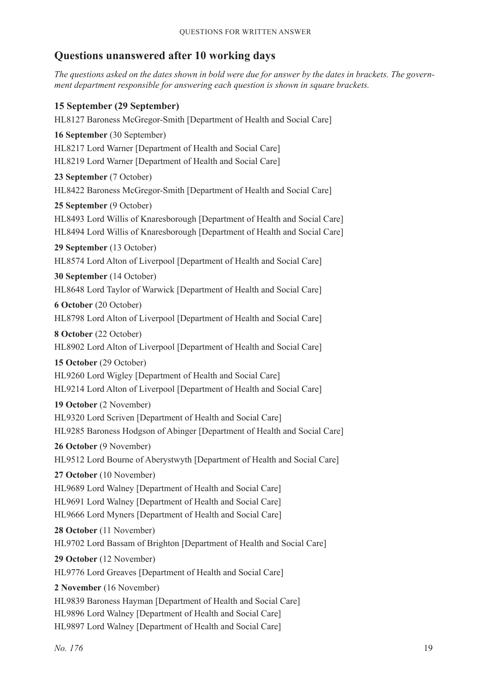# **Questions unanswered after 10 working days**

*The questions asked on the dates shown in bold were due for answer by the dates in brackets. The government department responsible for answering each question is shown in square brackets.*

# **15 September (29 September)**

HL8127 Baroness McGregor-Smith [Department of Health and Social Care] **16 September** (30 September) HL8217 Lord Warner [Department of Health and Social Care] HL8219 Lord Warner [Department of Health and Social Care] **23 September** (7 October) HL8422 Baroness McGregor-Smith [Department of Health and Social Care] **25 September** (9 October) HL8493 Lord Willis of Knaresborough [Department of Health and Social Care] HL8494 Lord Willis of Knaresborough [Department of Health and Social Care] **29 September** (13 October) HL8574 Lord Alton of Liverpool [Department of Health and Social Care] **30 September** (14 October) HL8648 Lord Taylor of Warwick [Department of Health and Social Care] **6 October** (20 October) HL8798 Lord Alton of Liverpool [Department of Health and Social Care] **8 October** (22 October) HL8902 Lord Alton of Liverpool [Department of Health and Social Care] **15 October** (29 October) HL9260 Lord Wigley [Department of Health and Social Care] HL9214 Lord Alton of Liverpool [Department of Health and Social Care] **19 October** (2 November) HL9320 Lord Scriven [Department of Health and Social Care] HL9285 Baroness Hodgson of Abinger [Department of Health and Social Care] **26 October** (9 November) HL9512 Lord Bourne of Aberystwyth [Department of Health and Social Care] **27 October** (10 November) HL9689 Lord Walney [Department of Health and Social Care] HL9691 Lord Walney [Department of Health and Social Care] HL9666 Lord Myners [Department of Health and Social Care] **28 October** (11 November) HL9702 Lord Bassam of Brighton [Department of Health and Social Care] **29 October** (12 November) HL9776 Lord Greaves [Department of Health and Social Care] **2 November** (16 November) HL9839 Baroness Hayman [Department of Health and Social Care] HL9896 Lord Walney [Department of Health and Social Care] HL9897 Lord Walney [Department of Health and Social Care]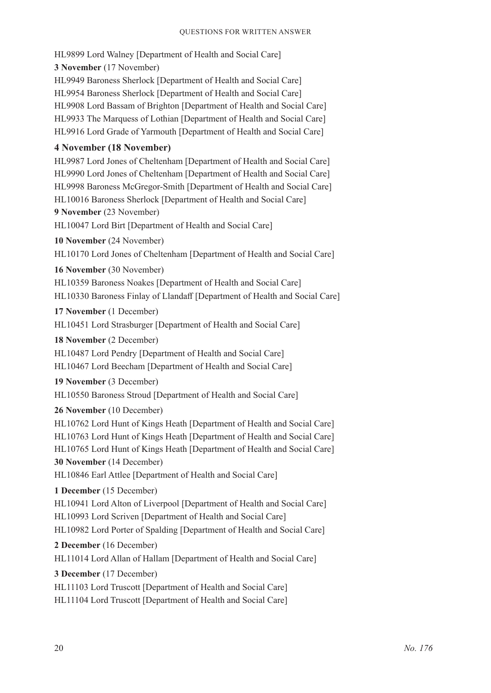HL9899 Lord Walney [Department of Health and Social Care] **3 November** (17 November) HL9949 Baroness Sherlock [Department of Health and Social Care] HL9954 Baroness Sherlock [Department of Health and Social Care] HL9908 Lord Bassam of Brighton [Department of Health and Social Care] HL9933 The Marquess of Lothian [Department of Health and Social Care] HL9916 Lord Grade of Yarmouth [Department of Health and Social Care]

#### **4 November (18 November)**

HL9987 Lord Jones of Cheltenham [Department of Health and Social Care] HL9990 Lord Jones of Cheltenham [Department of Health and Social Care] HL9998 Baroness McGregor-Smith [Department of Health and Social Care] HL10016 Baroness Sherlock [Department of Health and Social Care] **9 November** (23 November) HL10047 Lord Birt [Department of Health and Social Care]

**10 November** (24 November)

HL10170 Lord Jones of Cheltenham [Department of Health and Social Care]

**16 November** (30 November)

HL10359 Baroness Noakes [Department of Health and Social Care] HL10330 Baroness Finlay of Llandaff [Department of Health and Social Care]

**17 November** (1 December)

HL10451 Lord Strasburger [Department of Health and Social Care]

**18 November** (2 December)

HL10487 Lord Pendry [Department of Health and Social Care] HL10467 Lord Beecham [Department of Health and Social Care]

**19 November** (3 December)

HL10550 Baroness Stroud [Department of Health and Social Care]

**26 November** (10 December)

HL10762 Lord Hunt of Kings Heath [Department of Health and Social Care] HL10763 Lord Hunt of Kings Heath [Department of Health and Social Care] HL10765 Lord Hunt of Kings Heath [Department of Health and Social Care] **30 November** (14 December)

HL10846 Earl Attlee [Department of Health and Social Care]

**1 December** (15 December)

HL10941 Lord Alton of Liverpool [Department of Health and Social Care] HL10993 Lord Scriven [Department of Health and Social Care]

HL10982 Lord Porter of Spalding [Department of Health and Social Care]

**2 December** (16 December)

HL11014 Lord Allan of Hallam [Department of Health and Social Care]

**3 December** (17 December)

HL11103 Lord Truscott [Department of Health and Social Care]

HL11104 Lord Truscott [Department of Health and Social Care]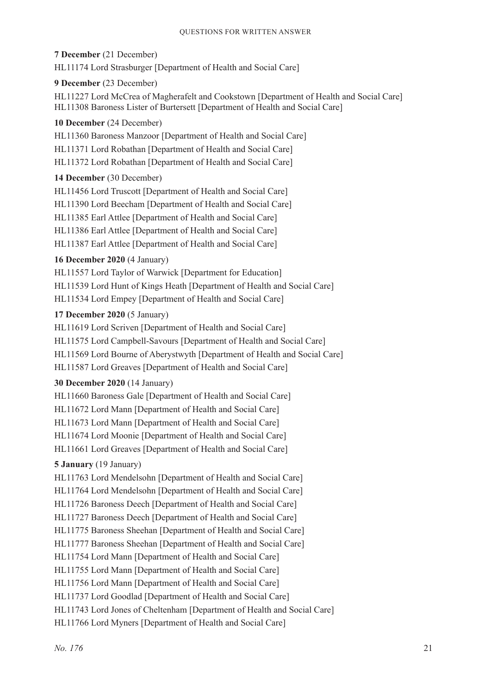**7 December** (21 December) HL11174 Lord Strasburger [Department of Health and Social Care]

# **9 December** (23 December)

HL11227 Lord McCrea of Magherafelt and Cookstown [Department of Health and Social Care] HL11308 Baroness Lister of Burtersett [Department of Health and Social Care]

# **10 December** (24 December)

HL11360 Baroness Manzoor [Department of Health and Social Care]

HL11371 Lord Robathan [Department of Health and Social Care]

HL11372 Lord Robathan [Department of Health and Social Care]

# **14 December** (30 December)

HL11456 Lord Truscott [Department of Health and Social Care] HL11390 Lord Beecham [Department of Health and Social Care] HL11385 Earl Attlee [Department of Health and Social Care] HL11386 Earl Attlee [Department of Health and Social Care] HL11387 Earl Attlee [Department of Health and Social Care]

# **16 December 2020** (4 January)

HL11557 Lord Taylor of Warwick [Department for Education] HL11539 Lord Hunt of Kings Heath [Department of Health and Social Care] HL11534 Lord Empey [Department of Health and Social Care]

# **17 December 2020** (5 January)

HL11619 Lord Scriven [Department of Health and Social Care] HL11575 Lord Campbell-Savours [Department of Health and Social Care] HL11569 Lord Bourne of Aberystwyth [Department of Health and Social Care] HL11587 Lord Greaves [Department of Health and Social Care]

### **30 December 2020** (14 January)

HL11660 Baroness Gale [Department of Health and Social Care] HL11672 Lord Mann [Department of Health and Social Care] HL11673 Lord Mann [Department of Health and Social Care] HL11674 Lord Moonie [Department of Health and Social Care] HL11661 Lord Greaves [Department of Health and Social Care]

# **5 January** (19 January)

HL11763 Lord Mendelsohn [Department of Health and Social Care] HL11764 Lord Mendelsohn [Department of Health and Social Care] HL11726 Baroness Deech [Department of Health and Social Care] HL11727 Baroness Deech [Department of Health and Social Care] HL11775 Baroness Sheehan [Department of Health and Social Care] HL11777 Baroness Sheehan [Department of Health and Social Care] HL11754 Lord Mann [Department of Health and Social Care] HL11755 Lord Mann [Department of Health and Social Care] HL11756 Lord Mann [Department of Health and Social Care] HL11737 Lord Goodlad [Department of Health and Social Care] HL11743 Lord Jones of Cheltenham [Department of Health and Social Care] HL11766 Lord Myners [Department of Health and Social Care]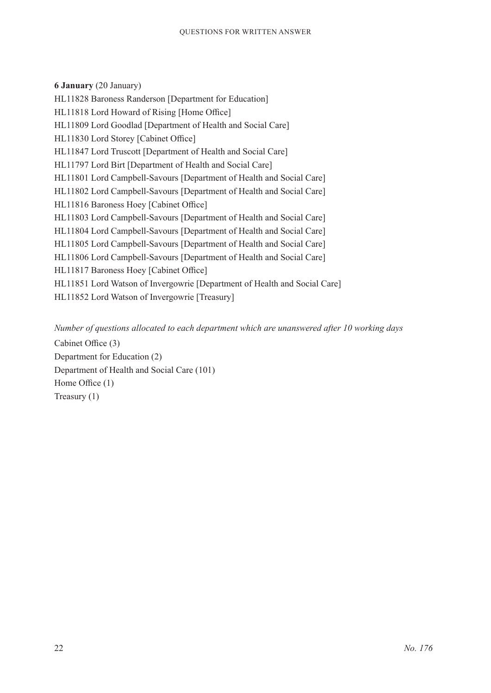**6 January** (20 January) HL11828 Baroness Randerson [Department for Education] HL11818 Lord Howard of Rising [Home Office] HL11809 Lord Goodlad [Department of Health and Social Care] HL11830 Lord Storey [Cabinet Office] HL11847 Lord Truscott [Department of Health and Social Care] HL11797 Lord Birt [Department of Health and Social Care] HL11801 Lord Campbell-Savours [Department of Health and Social Care] HL11802 Lord Campbell-Savours [Department of Health and Social Care] HL11816 Baroness Hoey [Cabinet Office] HL11803 Lord Campbell-Savours [Department of Health and Social Care] HL11804 Lord Campbell-Savours [Department of Health and Social Care] HL11805 Lord Campbell-Savours [Department of Health and Social Care] HL11806 Lord Campbell-Savours [Department of Health and Social Care] HL11817 Baroness Hoey [Cabinet Office] HL11851 Lord Watson of Invergowrie [Department of Health and Social Care] HL11852 Lord Watson of Invergowrie [Treasury]

*Number of questions allocated to each department which are unanswered after 10 working days*

Cabinet Office (3) Department for Education (2) Department of Health and Social Care (101) Home Office (1) Treasury (1)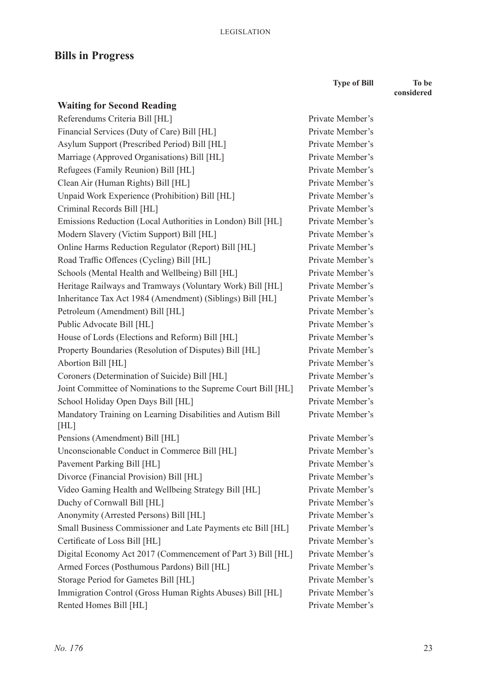# **Bills in Progress**

**Type of Bill To be** 

Private Member's Private Member's Private Member's Private Member's Private Member's Private Member's Private Member's Private Member's Private Member's Private Member's Private Member's Private Member's **considered**

| <b>Waiting for Second Reading</b>                                   |
|---------------------------------------------------------------------|
| Referendums Criteria Bill [HL]                                      |
| Financial Services (Duty of Care) Bill [HL]                         |
| Asylum Support (Prescribed Period) Bill [HL]                        |
| Marriage (Approved Organisations) Bill [HL]                         |
| Refugees (Family Reunion) Bill [HL]                                 |
| Clean Air (Human Rights) Bill [HL]                                  |
| Unpaid Work Experience (Prohibition) Bill [HL]                      |
| Criminal Records Bill [HL]                                          |
| Emissions Reduction (Local Authorities in London) Bill [HL]         |
| Modern Slavery (Victim Support) Bill [HL]                           |
| Online Harms Reduction Regulator (Report) Bill [HL]                 |
| Road Traffic Offences (Cycling) Bill [HL]                           |
| Schools (Mental Health and Wellbeing) Bill [HL]                     |
| Heritage Railways and Tramways (Voluntary Work) Bill [HL]           |
| Inheritance Tax Act 1984 (Amendment) (Siblings) Bill [HL]           |
| Petroleum (Amendment) Bill [HL]                                     |
| Public Advocate Bill [HL]                                           |
| House of Lords (Elections and Reform) Bill [HL]                     |
| Property Boundaries (Resolution of Disputes) Bill [HL]              |
| Abortion Bill [HL]                                                  |
| Coroners (Determination of Suicide) Bill [HL]                       |
| Joint Committee of Nominations to the Supreme Court Bill [HL]       |
| School Holiday Open Days Bill [HL]                                  |
| Mandatory Training on Learning Disabilities and Autism Bill<br>[HL] |
| Pensions (Amendment) Bill [HL]                                      |
| Unconscionable Conduct in Commerce Bill [HL]                        |
| Pavement Parking Bill [HL]                                          |
| Divorce (Financial Provision) Bill [HL]                             |
| Video Gaming Health and Wellbeing Strategy Bill [HL]                |
| Duchy of Cornwall Bill [HL]                                         |
| Anonymity (Arrested Persons) Bill [HL]                              |
| Small Business Commissioner and Late Payments etc Bill [HL]         |
| Certificate of Loss Bill [HL]                                       |
| Digital Economy Act 2017 (Commencement of Part 3) Bill [HL]         |
| Armed Forces (Posthumous Pardons) Bill [HL]                         |
| Storage Period for Gametes Bill [HL]                                |
| Immigration Control (Gross Human Rights Abuses) Bill [HL]           |
| Rented Homes Bill [HL]                                              |

Private Member's Private Member's Private Member's Private Member's Private Member's Private Member's Private Member's Private Member's Private Member's Private Member's Private Member's Private Member's Private Member's Private Member's Private Member's Private Member's Private Member's Private Member's Private Member's Private Member's Private Member's Private Member's Private Member's Private Member's Private Member's Private Member's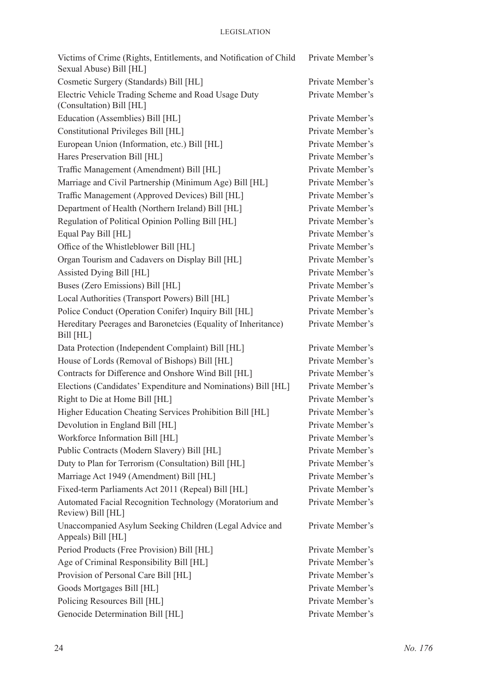| Victims of Crime (Rights, Entitlements, and Notification of Child<br>Sexual Abuse) Bill [HL] | Private Member's |
|----------------------------------------------------------------------------------------------|------------------|
| Cosmetic Surgery (Standards) Bill [HL]                                                       | Private Member's |
| Electric Vehicle Trading Scheme and Road Usage Duty<br>(Consultation) Bill [HL]              | Private Member's |
| Education (Assemblies) Bill [HL]                                                             | Private Member's |
| Constitutional Privileges Bill [HL]                                                          | Private Member's |
| European Union (Information, etc.) Bill [HL]                                                 | Private Member's |
| Hares Preservation Bill [HL]                                                                 | Private Member's |
| Traffic Management (Amendment) Bill [HL]                                                     | Private Member's |
| Marriage and Civil Partnership (Minimum Age) Bill [HL]                                       | Private Member's |
| Traffic Management (Approved Devices) Bill [HL]                                              | Private Member's |
| Department of Health (Northern Ireland) Bill [HL]                                            | Private Member's |
| Regulation of Political Opinion Polling Bill [HL]                                            | Private Member's |
| Equal Pay Bill [HL]                                                                          | Private Member's |
| Office of the Whistleblower Bill [HL]                                                        | Private Member's |
| Organ Tourism and Cadavers on Display Bill [HL]                                              | Private Member's |
| Assisted Dying Bill [HL]                                                                     | Private Member's |
| Buses (Zero Emissions) Bill [HL]                                                             | Private Member's |
| Local Authorities (Transport Powers) Bill [HL]                                               | Private Member's |
| Police Conduct (Operation Conifer) Inquiry Bill [HL]                                         | Private Member's |
| Hereditary Peerages and Baronetcies (Equality of Inheritance)<br>Bill [HL]                   | Private Member's |
| Data Protection (Independent Complaint) Bill [HL]                                            | Private Member's |
| House of Lords (Removal of Bishops) Bill [HL]                                                | Private Member's |
| Contracts for Difference and Onshore Wind Bill [HL]                                          | Private Member's |
| Elections (Candidates' Expenditure and Nominations) Bill [HL]                                | Private Member's |
| Right to Die at Home Bill [HL]                                                               | Private Member's |
| Higher Education Cheating Services Prohibition Bill [HL]                                     | Private Member's |
| Devolution in England Bill [HL]                                                              | Private Member's |
| Workforce Information Bill [HL]                                                              | Private Member's |
| Public Contracts (Modern Slavery) Bill [HL]                                                  | Private Member's |
| Duty to Plan for Terrorism (Consultation) Bill [HL]                                          | Private Member's |
| Marriage Act 1949 (Amendment) Bill [HL]                                                      | Private Member's |
| Fixed-term Parliaments Act 2011 (Repeal) Bill [HL]                                           | Private Member's |
| Automated Facial Recognition Technology (Moratorium and<br>Review) Bill [HL]                 | Private Member's |
| Unaccompanied Asylum Seeking Children (Legal Advice and<br>Appeals) Bill [HL]                | Private Member's |
| Period Products (Free Provision) Bill [HL]                                                   | Private Member's |
| Age of Criminal Responsibility Bill [HL]                                                     | Private Member's |
| Provision of Personal Care Bill [HL]                                                         | Private Member's |
| Goods Mortgages Bill [HL]                                                                    | Private Member's |
| Policing Resources Bill [HL]                                                                 | Private Member's |
| Genocide Determination Bill [HL]                                                             | Private Member's |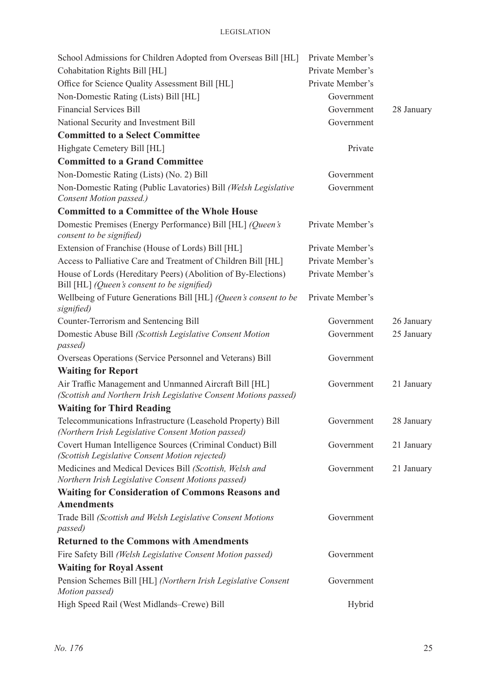| School Admissions for Children Adopted from Overseas Bill [HL]                                                             | Private Member's |            |
|----------------------------------------------------------------------------------------------------------------------------|------------------|------------|
| Cohabitation Rights Bill [HL]                                                                                              | Private Member's |            |
| Office for Science Quality Assessment Bill [HL]                                                                            | Private Member's |            |
| Non-Domestic Rating (Lists) Bill [HL]                                                                                      | Government       |            |
| <b>Financial Services Bill</b>                                                                                             | Government       | 28 January |
| National Security and Investment Bill                                                                                      | Government       |            |
| <b>Committed to a Select Committee</b>                                                                                     |                  |            |
| Highgate Cemetery Bill [HL]                                                                                                | Private          |            |
| <b>Committed to a Grand Committee</b>                                                                                      |                  |            |
| Non-Domestic Rating (Lists) (No. 2) Bill                                                                                   | Government       |            |
| Non-Domestic Rating (Public Lavatories) Bill (Welsh Legislative<br>Consent Motion passed.)                                 | Government       |            |
| <b>Committed to a Committee of the Whole House</b>                                                                         |                  |            |
| Domestic Premises (Energy Performance) Bill [HL] (Queen's<br>consent to be signified)                                      | Private Member's |            |
| Extension of Franchise (House of Lords) Bill [HL]                                                                          | Private Member's |            |
| Access to Palliative Care and Treatment of Children Bill [HL]                                                              | Private Member's |            |
| House of Lords (Hereditary Peers) (Abolition of By-Elections)<br>Bill [HL] (Queen's consent to be signified)               | Private Member's |            |
| Wellbeing of Future Generations Bill [HL] (Queen's consent to be<br>signified)                                             | Private Member's |            |
| Counter-Terrorism and Sentencing Bill                                                                                      | Government       | 26 January |
| Domestic Abuse Bill (Scottish Legislative Consent Motion<br>passed)                                                        | Government       | 25 January |
| Overseas Operations (Service Personnel and Veterans) Bill                                                                  | Government       |            |
| <b>Waiting for Report</b>                                                                                                  |                  |            |
| Air Traffic Management and Unmanned Aircraft Bill [HL]<br>(Scottish and Northern Irish Legislative Consent Motions passed) | Government       | 21 January |
| <b>Waiting for Third Reading</b>                                                                                           |                  |            |
| Telecommunications Infrastructure (Leasehold Property) Bill<br>(Northern Irish Legislative Consent Motion passed)          | Government       | 28 January |
| Covert Human Intelligence Sources (Criminal Conduct) Bill<br>(Scottish Legislative Consent Motion rejected)                | Government       | 21 January |
| Medicines and Medical Devices Bill (Scottish, Welsh and<br>Northern Irish Legislative Consent Motions passed)              | Government       | 21 January |
| <b>Waiting for Consideration of Commons Reasons and</b>                                                                    |                  |            |
| <b>Amendments</b>                                                                                                          |                  |            |
| Trade Bill (Scottish and Welsh Legislative Consent Motions<br>passed)                                                      | Government       |            |
| <b>Returned to the Commons with Amendments</b>                                                                             |                  |            |
| Fire Safety Bill (Welsh Legislative Consent Motion passed)                                                                 | Government       |            |
| <b>Waiting for Royal Assent</b>                                                                                            |                  |            |
| Pension Schemes Bill [HL] (Northern Irish Legislative Consent<br>Motion passed)                                            | Government       |            |
| High Speed Rail (West Midlands-Crewe) Bill                                                                                 | Hybrid           |            |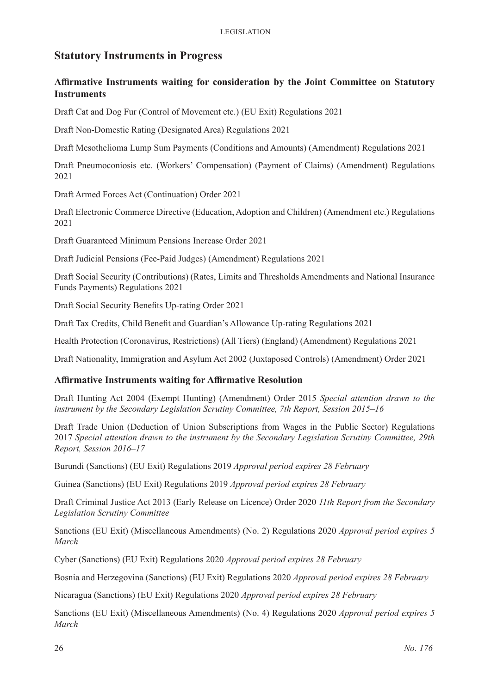# **Statutory Instruments in Progress**

### **Affirmative Instruments waiting for consideration by the Joint Committee on Statutory Instruments**

Draft Cat and Dog Fur (Control of Movement etc.) (EU Exit) Regulations 2021

Draft Non-Domestic Rating (Designated Area) Regulations 2021

Draft Mesothelioma Lump Sum Payments (Conditions and Amounts) (Amendment) Regulations 2021

Draft Pneumoconiosis etc. (Workers' Compensation) (Payment of Claims) (Amendment) Regulations 2021

Draft Armed Forces Act (Continuation) Order 2021

Draft Electronic Commerce Directive (Education, Adoption and Children) (Amendment etc.) Regulations 2021

Draft Guaranteed Minimum Pensions Increase Order 2021

Draft Judicial Pensions (Fee-Paid Judges) (Amendment) Regulations 2021

Draft Social Security (Contributions) (Rates, Limits and Thresholds Amendments and National Insurance Funds Payments) Regulations 2021

Draft Social Security Benefits Up-rating Order 2021

Draft Tax Credits, Child Benefit and Guardian's Allowance Up-rating Regulations 2021

Health Protection (Coronavirus, Restrictions) (All Tiers) (England) (Amendment) Regulations 2021

Draft Nationality, Immigration and Asylum Act 2002 (Juxtaposed Controls) (Amendment) Order 2021

#### **Affirmative Instruments waiting for Affirmative Resolution**

Draft Hunting Act 2004 (Exempt Hunting) (Amendment) Order 2015 *Special attention drawn to the instrument by the Secondary Legislation Scrutiny Committee, 7th Report, Session 2015–16*

Draft Trade Union (Deduction of Union Subscriptions from Wages in the Public Sector) Regulations 2017 *Special attention drawn to the instrument by the Secondary Legislation Scrutiny Committee, 29th Report, Session 2016–17*

Burundi (Sanctions) (EU Exit) Regulations 2019 *Approval period expires 28 February*

Guinea (Sanctions) (EU Exit) Regulations 2019 *Approval period expires 28 February*

Draft Criminal Justice Act 2013 (Early Release on Licence) Order 2020 *11th Report from the Secondary Legislation Scrutiny Committee*

Sanctions (EU Exit) (Miscellaneous Amendments) (No. 2) Regulations 2020 *Approval period expires 5 March*

Cyber (Sanctions) (EU Exit) Regulations 2020 *Approval period expires 28 February*

Bosnia and Herzegovina (Sanctions) (EU Exit) Regulations 2020 *Approval period expires 28 February*

Nicaragua (Sanctions) (EU Exit) Regulations 2020 *Approval period expires 28 February*

Sanctions (EU Exit) (Miscellaneous Amendments) (No. 4) Regulations 2020 *Approval period expires 5 March*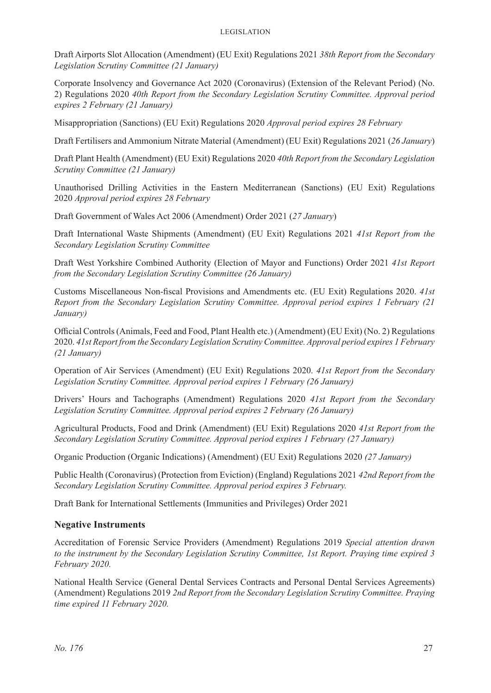Draft Airports Slot Allocation (Amendment) (EU Exit) Regulations 2021 *38th Report from the Secondary Legislation Scrutiny Committee (21 January)*

Corporate Insolvency and Governance Act 2020 (Coronavirus) (Extension of the Relevant Period) (No. 2) Regulations 2020 *40th Report from the Secondary Legislation Scrutiny Committee. Approval period expires 2 February (21 January)*

Misappropriation (Sanctions) (EU Exit) Regulations 2020 *Approval period expires 28 February*

Draft Fertilisers and Ammonium Nitrate Material (Amendment) (EU Exit) Regulations 2021 (*26 January*)

Draft Plant Health (Amendment) (EU Exit) Regulations 2020 *40th Report from the Secondary Legislation Scrutiny Committee (21 January)*

Unauthorised Drilling Activities in the Eastern Mediterranean (Sanctions) (EU Exit) Regulations 2020 *Approval period expires 28 February*

Draft Government of Wales Act 2006 (Amendment) Order 2021 (*27 January*)

Draft International Waste Shipments (Amendment) (EU Exit) Regulations 2021 *41st Report from the Secondary Legislation Scrutiny Committee*

Draft West Yorkshire Combined Authority (Election of Mayor and Functions) Order 2021 *41st Report from the Secondary Legislation Scrutiny Committee (26 January)*

Customs Miscellaneous Non-fiscal Provisions and Amendments etc. (EU Exit) Regulations 2020. *41st Report from the Secondary Legislation Scrutiny Committee. Approval period expires 1 February (21 January)*

Official Controls (Animals, Feed and Food, Plant Health etc.) (Amendment) (EU Exit) (No. 2) Regulations 2020. *41st Report from the Secondary Legislation Scrutiny Committee. Approval period expires 1 February (21 January)*

Operation of Air Services (Amendment) (EU Exit) Regulations 2020. *41st Report from the Secondary Legislation Scrutiny Committee. Approval period expires 1 February (26 January)*

Drivers' Hours and Tachographs (Amendment) Regulations 2020 *41st Report from the Secondary Legislation Scrutiny Committee. Approval period expires 2 February (26 January)*

Agricultural Products, Food and Drink (Amendment) (EU Exit) Regulations 2020 *41st Report from the Secondary Legislation Scrutiny Committee. Approval period expires 1 February (27 January)*

Organic Production (Organic Indications) (Amendment) (EU Exit) Regulations 2020 *(27 January)*

Public Health (Coronavirus) (Protection from Eviction) (England) Regulations 2021 *42nd Report from the Secondary Legislation Scrutiny Committee. Approval period expires 3 February.*

Draft Bank for International Settlements (Immunities and Privileges) Order 2021

#### **Negative Instruments**

Accreditation of Forensic Service Providers (Amendment) Regulations 2019 *Special attention drawn to the instrument by the Secondary Legislation Scrutiny Committee, 1st Report. Praying time expired 3 February 2020.* 

National Health Service (General Dental Services Contracts and Personal Dental Services Agreements) (Amendment) Regulations 2019 *2nd Report from the Secondary Legislation Scrutiny Committee. Praying time expired 11 February 2020.*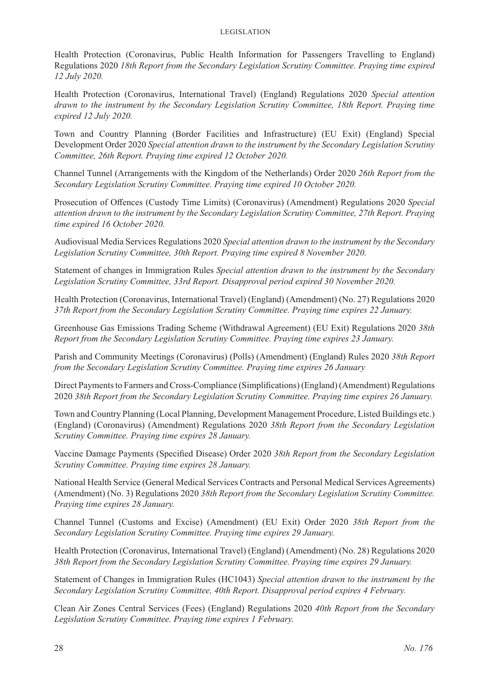Health Protection (Coronavirus, Public Health Information for Passengers Travelling to England) Regulations 2020 *18th Report from the Secondary Legislation Scrutiny Committee. Praying time expired 12 July 2020.* 

Health Protection (Coronavirus, International Travel) (England) Regulations 2020 *Special attention drawn to the instrument by the Secondary Legislation Scrutiny Committee, 18th Report. Praying time expired 12 July 2020.* 

Town and Country Planning (Border Facilities and Infrastructure) (EU Exit) (England) Special Development Order 2020 *Special attention drawn to the instrument by the Secondary Legislation Scrutiny Committee, 26th Report. Praying time expired 12 October 2020.*

Channel Tunnel (Arrangements with the Kingdom of the Netherlands) Order 2020 *26th Report from the Secondary Legislation Scrutiny Committee. Praying time expired 10 October 2020.*

Prosecution of Offences (Custody Time Limits) (Coronavirus) (Amendment) Regulations 2020 *Special attention drawn to the instrument by the Secondary Legislation Scrutiny Committee, 27th Report. Praying time expired 16 October 2020.*

Audiovisual Media Services Regulations 2020 *Special attention drawn to the instrument by the Secondary Legislation Scrutiny Committee, 30th Report. Praying time expired 8 November 2020.*

Statement of changes in Immigration Rules *Special attention drawn to the instrument by the Secondary Legislation Scrutiny Committee, 33rd Report. Disapproval period expired 30 November 2020.*

Health Protection (Coronavirus, International Travel) (England) (Amendment) (No. 27) Regulations 2020 *37th Report from the Secondary Legislation Scrutiny Committee. Praying time expires 22 January.*

Greenhouse Gas Emissions Trading Scheme (Withdrawal Agreement) (EU Exit) Regulations 2020 *38th Report from the Secondary Legislation Scrutiny Committee. Praying time expires 23 January.*

Parish and Community Meetings (Coronavirus) (Polls) (Amendment) (England) Rules 2020 *38th Report from the Secondary Legislation Scrutiny Committee. Praying time expires 26 January*

Direct Payments to Farmers and Cross-Compliance (Simplifications) (England) (Amendment) Regulations 2020 *38th Report from the Secondary Legislation Scrutiny Committee. Praying time expires 26 January.*

Town and Country Planning (Local Planning, Development Management Procedure, Listed Buildings etc.) (England) (Coronavirus) (Amendment) Regulations 2020 *38th Report from the Secondary Legislation Scrutiny Committee. Praying time expires 28 January.*

Vaccine Damage Payments (Specified Disease) Order 2020 *38th Report from the Secondary Legislation Scrutiny Committee. Praying time expires 28 January.*

National Health Service (General Medical Services Contracts and Personal Medical Services Agreements) (Amendment) (No. 3) Regulations 2020 *38th Report from the Secondary Legislation Scrutiny Committee. Praying time expires 28 January.*

Channel Tunnel (Customs and Excise) (Amendment) (EU Exit) Order 2020 *38th Report from the Secondary Legislation Scrutiny Committee. Praying time expires 29 January.*

Health Protection (Coronavirus, International Travel) (England) (Amendment) (No. 28) Regulations 2020 *38th Report from the Secondary Legislation Scrutiny Committee. Praying time expires 29 January.*

Statement of Changes in Immigration Rules (HC1043) *Special attention drawn to the instrument by the Secondary Legislation Scrutiny Committee, 40th Report. Disapproval period expires 4 February.*

Clean Air Zones Central Services (Fees) (England) Regulations 2020 *40th Report from the Secondary Legislation Scrutiny Committee. Praying time expires 1 February.*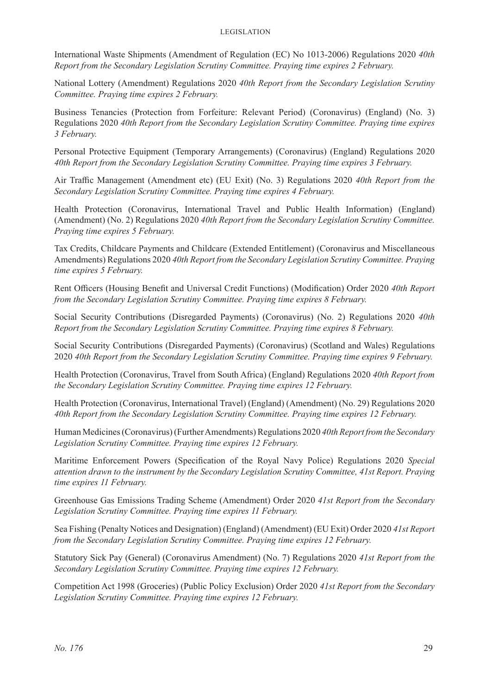International Waste Shipments (Amendment of Regulation (EC) No 1013-2006) Regulations 2020 *40th Report from the Secondary Legislation Scrutiny Committee. Praying time expires 2 February.*

National Lottery (Amendment) Regulations 2020 *40th Report from the Secondary Legislation Scrutiny Committee. Praying time expires 2 February.*

Business Tenancies (Protection from Forfeiture: Relevant Period) (Coronavirus) (England) (No. 3) Regulations 2020 *40th Report from the Secondary Legislation Scrutiny Committee. Praying time expires 3 February.*

Personal Protective Equipment (Temporary Arrangements) (Coronavirus) (England) Regulations 2020 *40th Report from the Secondary Legislation Scrutiny Committee. Praying time expires 3 February.*

Air Traffic Management (Amendment etc) (EU Exit) (No. 3) Regulations 2020 *40th Report from the Secondary Legislation Scrutiny Committee. Praying time expires 4 February.*

Health Protection (Coronavirus, International Travel and Public Health Information) (England) (Amendment) (No. 2) Regulations 2020 *40th Report from the Secondary Legislation Scrutiny Committee. Praying time expires 5 February.*

Tax Credits, Childcare Payments and Childcare (Extended Entitlement) (Coronavirus and Miscellaneous Amendments) Regulations 2020 *40th Report from the Secondary Legislation Scrutiny Committee. Praying time expires 5 February.*

Rent Officers (Housing Benefit and Universal Credit Functions) (Modification) Order 2020 *40th Report from the Secondary Legislation Scrutiny Committee. Praying time expires 8 February.*

Social Security Contributions (Disregarded Payments) (Coronavirus) (No. 2) Regulations 2020 *40th Report from the Secondary Legislation Scrutiny Committee. Praying time expires 8 February.*

Social Security Contributions (Disregarded Payments) (Coronavirus) (Scotland and Wales) Regulations 2020 *40th Report from the Secondary Legislation Scrutiny Committee. Praying time expires 9 February.*

Health Protection (Coronavirus, Travel from South Africa) (England) Regulations 2020 *40th Report from the Secondary Legislation Scrutiny Committee. Praying time expires 12 February.*

Health Protection (Coronavirus, International Travel) (England) (Amendment) (No. 29) Regulations 2020 *40th Report from the Secondary Legislation Scrutiny Committee. Praying time expires 12 February.*

Human Medicines (Coronavirus) (Further Amendments) Regulations 2020 *40th Report from the Secondary Legislation Scrutiny Committee. Praying time expires 12 February.*

Maritime Enforcement Powers (Specification of the Royal Navy Police) Regulations 2020 *Special attention drawn to the instrument by the Secondary Legislation Scrutiny Committee, 41st Report. Praying time expires 11 February.*

Greenhouse Gas Emissions Trading Scheme (Amendment) Order 2020 *41st Report from the Secondary Legislation Scrutiny Committee. Praying time expires 11 February.*

Sea Fishing (Penalty Notices and Designation) (England) (Amendment) (EU Exit) Order 2020 *41st Report from the Secondary Legislation Scrutiny Committee. Praying time expires 12 February.*

Statutory Sick Pay (General) (Coronavirus Amendment) (No. 7) Regulations 2020 *41st Report from the Secondary Legislation Scrutiny Committee. Praying time expires 12 February.*

Competition Act 1998 (Groceries) (Public Policy Exclusion) Order 2020 *41st Report from the Secondary Legislation Scrutiny Committee. Praying time expires 12 February.*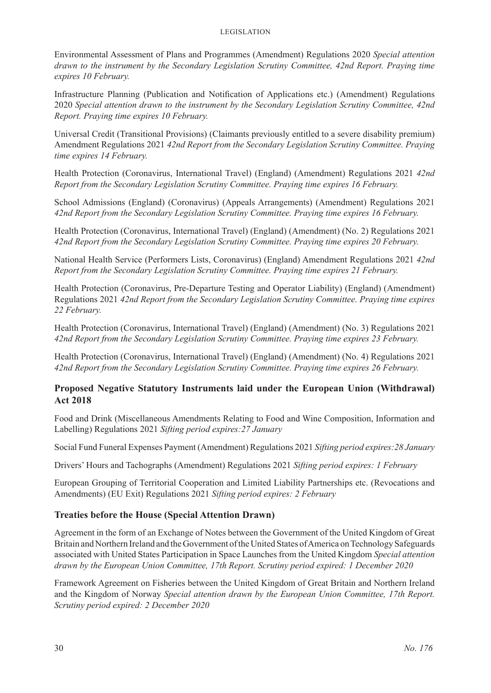Environmental Assessment of Plans and Programmes (Amendment) Regulations 2020 *Special attention drawn to the instrument by the Secondary Legislation Scrutiny Committee, 42nd Report. Praying time expires 10 February.*

Infrastructure Planning (Publication and Notification of Applications etc.) (Amendment) Regulations 2020 *Special attention drawn to the instrument by the Secondary Legislation Scrutiny Committee, 42nd Report. Praying time expires 10 February.*

Universal Credit (Transitional Provisions) (Claimants previously entitled to a severe disability premium) Amendment Regulations 2021 *42nd Report from the Secondary Legislation Scrutiny Committee. Praying time expires 14 February.*

Health Protection (Coronavirus, International Travel) (England) (Amendment) Regulations 2021 *42nd Report from the Secondary Legislation Scrutiny Committee. Praying time expires 16 February.*

School Admissions (England) (Coronavirus) (Appeals Arrangements) (Amendment) Regulations 2021 *42nd Report from the Secondary Legislation Scrutiny Committee. Praying time expires 16 February.*

Health Protection (Coronavirus, International Travel) (England) (Amendment) (No. 2) Regulations 2021 *42nd Report from the Secondary Legislation Scrutiny Committee. Praying time expires 20 February.*

National Health Service (Performers Lists, Coronavirus) (England) Amendment Regulations 2021 *42nd Report from the Secondary Legislation Scrutiny Committee. Praying time expires 21 February.*

Health Protection (Coronavirus, Pre-Departure Testing and Operator Liability) (England) (Amendment) Regulations 2021 *42nd Report from the Secondary Legislation Scrutiny Committee. Praying time expires 22 February.*

Health Protection (Coronavirus, International Travel) (England) (Amendment) (No. 3) Regulations 2021 *42nd Report from the Secondary Legislation Scrutiny Committee. Praying time expires 23 February.*

Health Protection (Coronavirus, International Travel) (England) (Amendment) (No. 4) Regulations 2021 *42nd Report from the Secondary Legislation Scrutiny Committee. Praying time expires 26 February.*

#### **Proposed Negative Statutory Instruments laid under the European Union (Withdrawal) Act 2018**

Food and Drink (Miscellaneous Amendments Relating to Food and Wine Composition, Information and Labelling) Regulations 2021 *Sifting period expires:27 January*

Social Fund Funeral Expenses Payment (Amendment) Regulations 2021 *Sifting period expires:28 January*

Drivers' Hours and Tachographs (Amendment) Regulations 2021 *Sifting period expires: 1 February*

European Grouping of Territorial Cooperation and Limited Liability Partnerships etc. (Revocations and Amendments) (EU Exit) Regulations 2021 *Sifting period expires: 2 February*

#### **Treaties before the House (Special Attention Drawn)**

Agreement in the form of an Exchange of Notes between the Government of the United Kingdom of Great Britain and Northern Ireland and the Government of the United States of America on Technology Safeguards associated with United States Participation in Space Launches from the United Kingdom *Special attention drawn by the European Union Committee, 17th Report. Scrutiny period expired: 1 December 2020*

Framework Agreement on Fisheries between the United Kingdom of Great Britain and Northern Ireland and the Kingdom of Norway *Special attention drawn by the European Union Committee, 17th Report. Scrutiny period expired: 2 December 2020*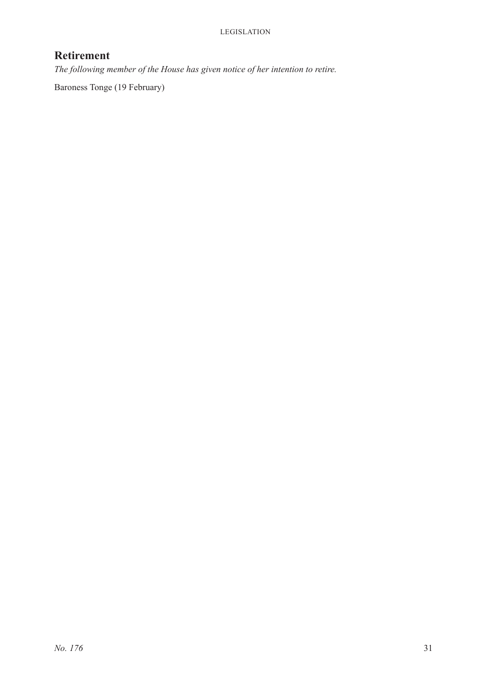# **Retirement**

*The following member of the House has given notice of her intention to retire.*

Baroness Tonge (19 February)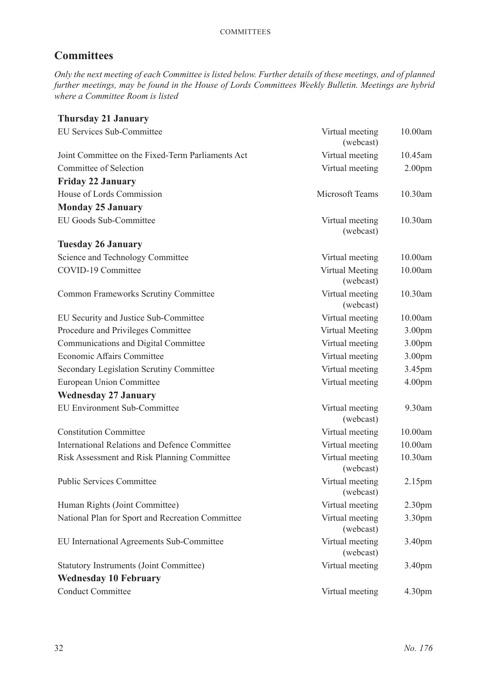# **Committees**

*Only the next meeting of each Committee is listed below. Further details of these meetings, and of planned further meetings, may be found in the House of Lords Committees Weekly Bulletin. Meetings are hybrid where a Committee Room is listed*

| <b>Thursday 21 January</b>                           |                              |                    |
|------------------------------------------------------|------------------------------|--------------------|
| EU Services Sub-Committee                            | Virtual meeting<br>(webcast) | 10.00am            |
| Joint Committee on the Fixed-Term Parliaments Act    | Virtual meeting              | 10.45am            |
| Committee of Selection                               | Virtual meeting              | 2.00 <sub>pm</sub> |
| <b>Friday 22 January</b>                             |                              |                    |
| House of Lords Commission                            | Microsoft Teams              | 10.30am            |
| <b>Monday 25 January</b>                             |                              |                    |
| EU Goods Sub-Committee                               | Virtual meeting<br>(webcast) | 10.30am            |
| <b>Tuesday 26 January</b>                            |                              |                    |
| Science and Technology Committee                     | Virtual meeting              | 10.00am            |
| COVID-19 Committee                                   | Virtual Meeting<br>(webcast) | 10.00am            |
| <b>Common Frameworks Scrutiny Committee</b>          | Virtual meeting<br>(webcast) | 10.30am            |
| EU Security and Justice Sub-Committee                | Virtual meeting              | 10.00am            |
| Procedure and Privileges Committee                   | Virtual Meeting              | 3.00pm             |
| Communications and Digital Committee                 | Virtual meeting              | 3.00pm             |
| Economic Affairs Committee                           | Virtual meeting              | 3.00pm             |
| <b>Secondary Legislation Scrutiny Committee</b>      | Virtual meeting              | 3.45pm             |
| <b>European Union Committee</b>                      | Virtual meeting              | 4.00 <sub>pm</sub> |
| <b>Wednesday 27 January</b>                          |                              |                    |
| <b>EU Environment Sub-Committee</b>                  | Virtual meeting<br>(webcast) | 9.30am             |
| <b>Constitution Committee</b>                        | Virtual meeting              | 10.00am            |
| <b>International Relations and Defence Committee</b> | Virtual meeting              | 10.00am            |
| Risk Assessment and Risk Planning Committee          | Virtual meeting<br>(webcast) | 10.30am            |
| <b>Public Services Committee</b>                     | Virtual meeting<br>(webcast) | 2.15pm             |
| Human Rights (Joint Committee)                       | Virtual meeting              | 2.30 <sub>pm</sub> |
| National Plan for Sport and Recreation Committee     | Virtual meeting<br>(webcast) | 3.30pm             |
| EU International Agreements Sub-Committee            | Virtual meeting<br>(webcast) | 3.40pm             |
| <b>Statutory Instruments (Joint Committee)</b>       | Virtual meeting              | 3.40pm             |
| <b>Wednesday 10 February</b>                         |                              |                    |
| <b>Conduct Committee</b>                             | Virtual meeting              | 4.30 <sub>pm</sub> |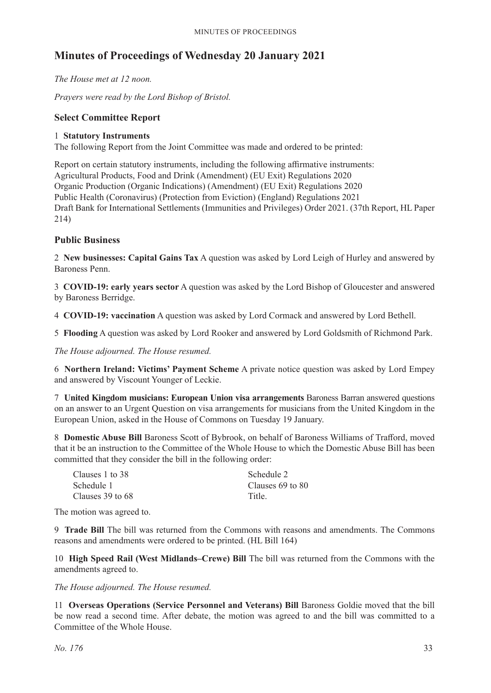# **Minutes of Proceedings of Wednesday 20 January 2021**

*The House met at 12 noon.*

*Prayers were read by the Lord Bishop of Bristol.*

#### **Select Committee Report**

#### 1 **Statutory Instruments**

The following Report from the Joint Committee was made and ordered to be printed:

Report on certain statutory instruments, including the following affirmative instruments: Agricultural Products, Food and Drink (Amendment) (EU Exit) Regulations 2020 Organic Production (Organic Indications) (Amendment) (EU Exit) Regulations 2020 Public Health (Coronavirus) (Protection from Eviction) (England) Regulations 2021 Draft Bank for International Settlements (Immunities and Privileges) Order 2021. (37th Report, HL Paper 214)

### **Public Business**

2 **New businesses: Capital Gains Tax** A question was asked by Lord Leigh of Hurley and answered by Baroness Penn.

3 **COVID-19: early years sector** A question was asked by the Lord Bishop of Gloucester and answered by Baroness Berridge.

4 **COVID-19: vaccination** A question was asked by Lord Cormack and answered by Lord Bethell.

5 **Flooding** A question was asked by Lord Rooker and answered by Lord Goldsmith of Richmond Park.

*The House adjourned. The House resumed.*

6 **Northern Ireland: Victims' Payment Scheme** A private notice question was asked by Lord Empey and answered by Viscount Younger of Leckie.

7 **United Kingdom musicians: European Union visa arrangements** Baroness Barran answered questions on an answer to an Urgent Question on visa arrangements for musicians from the United Kingdom in the European Union, asked in the House of Commons on Tuesday 19 January.

8 **Domestic Abuse Bill** Baroness Scott of Bybrook, on behalf of Baroness Williams of Trafford, moved that it be an instruction to the Committee of the Whole House to which the Domestic Abuse Bill has been committed that they consider the bill in the following order:

| Schedule 2       |
|------------------|
| Clauses 69 to 80 |
| Title.           |
|                  |

The motion was agreed to.

9 **Trade Bill** The bill was returned from the Commons with reasons and amendments. The Commons reasons and amendments were ordered to be printed. (HL Bill 164)

10 **High Speed Rail (West Midlands–Crewe) Bill** The bill was returned from the Commons with the amendments agreed to.

*The House adjourned. The House resumed.*

11 **Overseas Operations (Service Personnel and Veterans) Bill** Baroness Goldie moved that the bill be now read a second time. After debate, the motion was agreed to and the bill was committed to a Committee of the Whole House.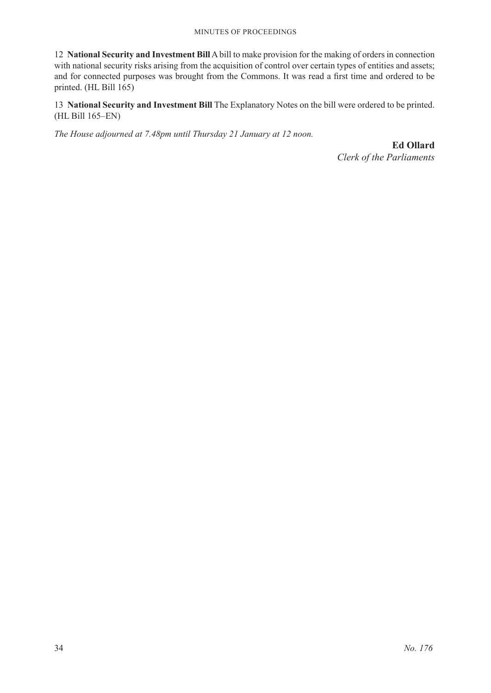#### Minutes of Proceedings

12 **National Security and Investment Bill** A bill to make provision for the making of orders in connection with national security risks arising from the acquisition of control over certain types of entities and assets; and for connected purposes was brought from the Commons. It was read a first time and ordered to be printed. (HL Bill 165)

13 **National Security and Investment Bill** The Explanatory Notes on the bill were ordered to be printed. (HL Bill 165–EN)

*The House adjourned at 7.48pm until Thursday 21 January at 12 noon.*

**Ed Ollard** *Clerk of the Parliaments*